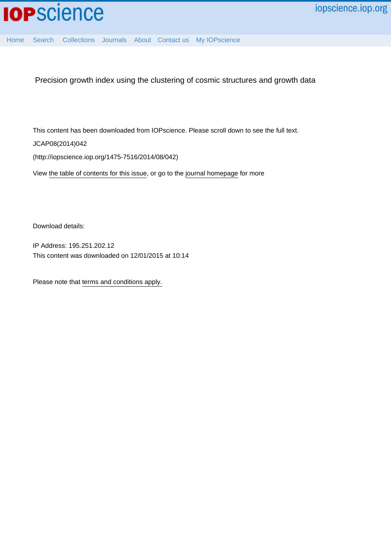

[Home](http://iopscience.iop.org/) [Search](http://iopscience.iop.org/search) [Collections](http://iopscience.iop.org/collections) [Journals](http://iopscience.iop.org/journals) [About](http://iopscience.iop.org/page/aboutioppublishing) [Contact us](http://iopscience.iop.org/contact) [My IOPscience](http://iopscience.iop.org/myiopscience)

Precision growth index using the clustering of cosmic structures and growth data

This content has been downloaded from IOPscience. Please scroll down to see the full text.

JCAP08(2014)042

(http://iopscience.iop.org/1475-7516/2014/08/042)

View [the table of contents for this issue](http://iopscience.iop.org/1475-7516/2014/08), or go to the [journal homepage](http://iopscience.iop.org/1475-7516) for more

Download details:

IP Address: 195.251.202.12 This content was downloaded on 12/01/2015 at 10:14

Please note that [terms and conditions apply.](iopscience.iop.org/page/terms)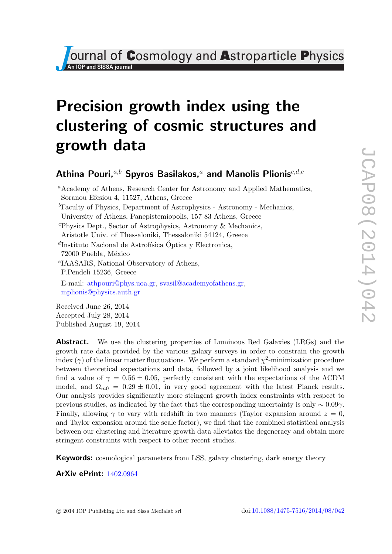*Ournal of Cosmology and Astroparticle Physics* 

# Precision growth index using the clustering of cosmic structures and growth data

# Athina Pouri, $a,b$  Spyros Basilakos, $a$  and Manolis Plionis $c,d,e$

<sup>a</sup>Academy of Athens, Research Center for Astronomy and Applied Mathematics, Soranou Efesiou 4, 11527, Athens, Greece  ${}^{b}$ Faculty of Physics, Department of Astrophysics - Astronomy - Mechanics, University of Athens, Panepistemiopolis, 157 83 Athens, Greece <sup>c</sup>Physics Dept., Sector of Astrophysics, Astronomy & Mechanics, Aristotle Univ. of Thessaloniki, Thessaloniki 54124, Greece  ${}^{d}$ Instituto Nacional de Astrofísica Óptica y Electronica, 72000 Puebla, México e IAASARS, National Observatory of Athens, P.Pendeli 15236, Greece E-mail: [athpouri@phys.uoa.gr,](mailto:athpouri@phys.uoa.gr) [svasil@academyofathens.gr,](mailto:svasil@academyofathens.gr) [mplionis@physics.auth.gr](mailto:mplionis@physics.auth.gr) Received June 26, 2014

Accepted July 28, 2014 Published August 19, 2014

Abstract. We use the clustering properties of Luminous Red Galaxies (LRGs) and the growth rate data provided by the various galaxy surveys in order to constrain the growth index ( $\gamma$ ) of the linear matter fluctuations. We perform a standard  $\chi^2$ -minimization procedure between theoretical expectations and data, followed by a joint likelihood analysis and we find a value of  $\gamma = 0.56 \pm 0.05$ , perfectly consistent with the expectations of the ACDM model, and  $\Omega_{m0} = 0.29 \pm 0.01$ , in very good agreement with the latest Planck results. Our analysis provides significantly more stringent growth index constraints with respect to previous studies, as indicated by the fact that the corresponding uncertainty is only  $\sim 0.09\gamma$ . Finally, allowing  $\gamma$  to vary with redshift in two manners (Taylor expansion around  $z = 0$ , and Taylor expansion around the scale factor), we find that the combined statistical analysis between our clustering and literature growth data alleviates the degeneracy and obtain more stringent constraints with respect to other recent studies.

**Keywords:** cosmological parameters from LSS, galaxy clustering, dark energy theory

ArXiv ePrint: [1402.0964](http://arxiv.org/abs/1402.0964)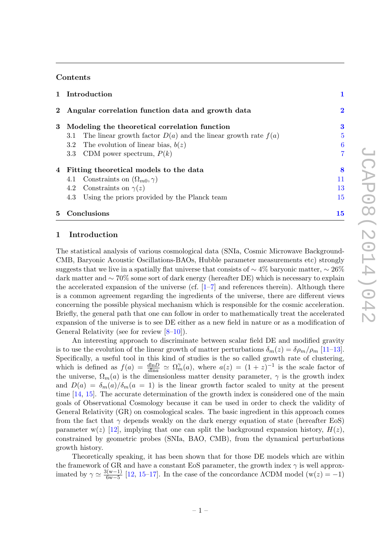# Contents

|   | 1 Introduction                                                        |                |
|---|-----------------------------------------------------------------------|----------------|
|   | 2 Angular correlation function data and growth data                   | $\bf{2}$       |
|   | 3 Modeling the theoretical correlation function                       | 3              |
|   | 3.1 The linear growth factor $D(a)$ and the linear growth rate $f(a)$ | $\overline{5}$ |
|   | 3.2 The evolution of linear bias, $b(z)$                              | 6              |
|   | 3.3 CDM power spectrum, $P(k)$                                        | $\overline{7}$ |
|   | 4 Fitting theoretical models to the data                              | 8              |
|   | 4.1 Constraints on $(\Omega_{m0}, \gamma)$                            | 11             |
|   | 4.2 Constraints on $\gamma(z)$                                        | 13             |
|   | Using the priors provided by the Planck team<br>4.3                   | 15             |
| 5 | Conclusions                                                           | 15             |

# <span id="page-2-0"></span>1 Introduction

The statistical analysis of various cosmological data (SNIa, Cosmic Microwave Background-CMB, Baryonic Acoustic Oscillations-BAOs, Hubble parameter measurements etc) strongly suggests that we live in a spatially flat universe that consists of  $\sim$  4% baryonic matter,  $\sim$  26% dark matter and ∼ 70% some sort of dark energy (hereafter DE) which is necessary to explain the accelerated expansion of the universe (cf.  $[1-7]$  $[1-7]$  and references therein). Although there is a common agreement regarding the ingredients of the universe, there are different views concerning the possible physical mechanism which is responsible for the cosmic acceleration. Briefly, the general path that one can follow in order to mathematically treat the accelerated expansion of the universe is to see DE either as a new field in nature or as a modification of General Relativity (see for review [\[8–](#page-18-1)[10\]](#page-18-2)).

An interesting approach to discriminate between scalar field DE and modified gravity is to use the evolution of the linear growth of matter perturbations  $\delta_m(z) = \delta \rho_m / \rho_m$  [\[11](#page-18-3)[–13\]](#page-18-4). Specifically, a useful tool in this kind of studies is the so called growth rate of clustering, which is defined as  $f(a) = \frac{d \ln D}{d \ln a} \simeq \Omega_m^{\gamma}(a)$ , where  $a(z) = (1+z)^{-1}$  is the scale factor of the universe,  $\Omega_m(a)$  is the dimensionless matter density parameter,  $\gamma$  is the growth index and  $D(a) = \delta_m(a)/\delta_m(a = 1)$  is the linear growth factor scaled to unity at the present time [\[14,](#page-18-5) [15\]](#page-18-6). The accurate determination of the growth index is considered one of the main goals of Observational Cosmology because it can be used in order to check the validity of General Relativity (GR) on cosmological scales. The basic ingredient in this approach comes from the fact that  $\gamma$  depends weakly on the dark energy equation of state (hereafter EoS) parameter w(z) [\[12\]](#page-18-7), implying that one can split the background expansion history,  $H(z)$ , constrained by geometric probes (SNIa, BAO, CMB), from the dynamical perturbations growth history.

Theoretically speaking, it has been shown that for those DE models which are within the framework of GR and have a constant EoS parameter, the growth index  $\gamma$  is well approximated by  $\gamma \simeq \frac{3(w-1)}{6w-5}$  $\frac{6(w-1)}{6w-5}$  [\[12,](#page-18-7) [15](#page-18-6)[–17\]](#page-18-8). In the case of the concordance  $\Lambda$ CDM model  $(w(z) = -1)$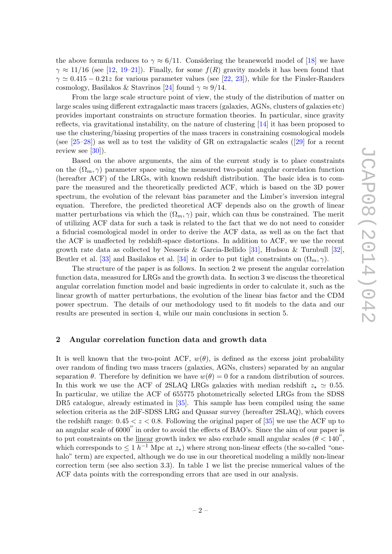the above formula reduces to  $\gamma \approx 6/11$ . Considering the braneworld model of [\[18\]](#page-18-9) we have  $\gamma \approx 11/16$  (see [\[12,](#page-18-7) [19–](#page-18-10)[21\]](#page-18-11)). Finally, for some  $f(R)$  gravity models it has been found that  $\gamma \simeq 0.415 - 0.21z$  for various parameter values (see [\[22,](#page-18-12) [23\]](#page-18-13)), while for the Finsler-Randers cosmology, Basilakos & Stavrinos [\[24\]](#page-18-14) found  $\gamma \approx 9/14$ .

From the large scale structure point of view, the study of the distribution of matter on large scales using different extragalactic mass tracers (galaxies, AGNs, clusters of galaxies etc) provides important constraints on structure formation theories. In particular, since gravity reflects, via gravitational instability, on the nature of clustering [\[14\]](#page-18-5) it has been proposed to use the clustering/biasing properties of the mass tracers in constraining cosmological models (see $[25-28]$ ) as well as to test the validity of GR on extragalactic scales ( $[29]$  for a recent review see [\[30\]](#page-19-1)).

Based on the above arguments, the aim of the current study is to place constraints on the  $(\Omega_m, \gamma)$  parameter space using the measured two-point angular correlation function (hereafter ACF) of the LRGs, with known redshift distribution. The basic idea is to compare the measured and the theoretically predicted ACF, which is based on the 3D power spectrum, the evolution of the relevant bias parameter and the Limber's inversion integral equation. Therefore, the predicted theoretical ACF depends also on the growth of linear matter perturbations via which the  $(\Omega_m, \gamma)$  pair, which can thus be constrained. The merit of utilizing ACF data for such a task is related to the fact that we do not need to consider a fiducial cosmological model in order to derive the ACF data, as well as on the fact that the ACF is unaffected by redshift-space distortions. In addition to ACF, we use the recent growth rate data as collected by Nesseris & Garcia-Bellido [\[31\]](#page-19-2), Hudson & Turnbull [\[32\]](#page-19-3), Beutler et al. [\[33\]](#page-19-4) and Basilakos et al. [\[34\]](#page-19-5) in order to put tight constraints on  $(\Omega_m, \gamma)$ .

The structure of the paper is as follows. In section 2 we present the angular correlation function data, measured for LRGs and the growth data. In section 3 we discuss the theoretical angular correlation function model and basic ingredients in order to calculate it, such as the linear growth of matter perturbations, the evolution of the linear bias factor and the CDM power spectrum. The details of our methodology used to fit models to the data and our results are presented in section 4, while our main conclusions in section 5.

#### <span id="page-3-0"></span>2 Angular correlation function data and growth data

It is well known that the two-point ACF,  $w(\theta)$ , is defined as the excess joint probability over random of finding two mass tracers (galaxies, AGNs, clusters) separated by an angular separation  $\theta$ . Therefore by definition we have  $w(\theta) = 0$  for a random distribution of sources. In this work we use the ACF of 2SLAQ LRGs galaxies with median redshift  $z_* \simeq 0.55$ . In particular, we utilize the ACF of 655775 photometrically selected LRGs from the SDSS DR5 catalogue, already estimated in [\[35\]](#page-19-6). This sample has been compiled using the same selection criteria as the 2dF-SDSS LRG and Quasar survey (hereafter 2SLAQ), which covers the redshift range:  $0.45 < z < 0.8$ . Following the original paper of [\[35\]](#page-19-6) we use the ACF up to an angular scale of  $6000''$  in order to avoid the effects of BAO's. Since the aim of our paper is to put constraints on the linear growth index we also exclude small angular scales  $(\theta < 140^{\prime\prime})$ , which corresponds to  $\leq 1 h^{-1}$  Mpc at  $z_{\star}$ ) where strong non-linear effects (the so-called "onehalo" term) are expected, although we do use in our theoretical modeling a mildly non-linear correction term (see also section 3.3). In table 1 we list the precise numerical values of the ACF data points with the corresponding errors that are used in our analysis.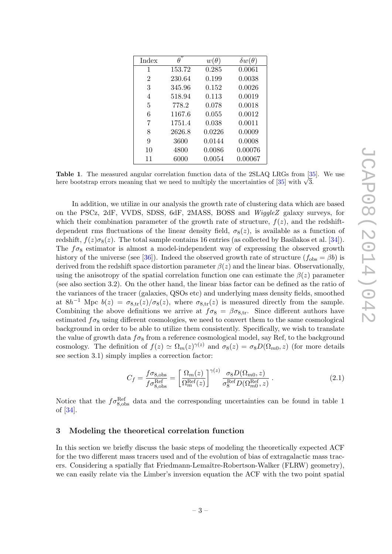| Index          |        | $w(\theta)$ | $\delta w(\theta)$ |
|----------------|--------|-------------|--------------------|
| 1              | 153.72 | 0.285       | 0.0061             |
| $\overline{2}$ | 230.64 | 0.199       | 0.0038             |
| 3              | 345.96 | 0.152       | 0.0026             |
| 4              | 518.94 | 0.113       | 0.0019             |
| 5              | 778.2  | 0.078       | 0.0018             |
| 6              | 1167.6 | 0.055       | 0.0012             |
| 7              | 1751.4 | 0.038       | 0.0011             |
| 8              | 2626.8 | 0.0226      | 0.0009             |
| 9              | 3600   | 0.0144      | 0.0008             |
| 10             | 4800   | 0.0086      | 0.00076            |
| 11             | 6000   | 0.0054      | 0.00067            |

Table 1. The measured angular correlation function data of the 2SLAQ LRGs from [\[35\]](#page-19-6). We use **Hable 1.** The measured angular correlation function data of the 2SLAQ LKGs from  $\frac{136}{120}$  here bootstrap errors meaning that we need to multiply the uncertainties of  $\left[35\right]$  with  $\sqrt{3}$ .

In addition, we utilize in our analysis the growth rate of clustering data which are based on the PSCz, 2dF, VVDS, SDSS, 6dF, 2MASS, BOSS and WiggleZ galaxy surveys, for which their combination parameter of the growth rate of structure,  $f(z)$ , and the redshiftdependent rms fluctuations of the linear density field,  $\sigma_8(z)$ , is available as a function of redshift,  $f(z)\sigma_8(z)$ . The total sample contains 16 entries (as collected by Basilakos et al. [\[34\]](#page-19-5)). The  $f\sigma_8$  estimator is almost a model-independent way of expressing the observed growth history of the universe (see [\[36\]](#page-19-7)). Indeed the observed growth rate of structure  $(f_{obs} = \beta b)$  is derived from the redshift space distortion parameter  $\beta(z)$  and the linear bias. Observationally, using the anisotropy of the spatial correlation function one can estimate the  $\beta(z)$  parameter (see also section 3.2). On the other hand, the linear bias factor can be defined as the ratio of the variances of the tracer (galaxies, QSOs etc) and underlying mass density fields, smoothed at  $8h^{-1}$  Mpc  $b(z) = \sigma_{8,\text{tr}}(z)/\sigma_8(z)$ , where  $\sigma_{8,\text{tr}}(z)$  is measured directly from the sample. Combining the above definitions we arrive at  $f\sigma_8 = \beta \sigma_{8,\text{tr}}$ . Since different authors have estimated  $f_{\sigma_8}$  using different cosmologies, we need to convert them to the same cosmological background in order to be able to utilize them consistently. Specifically, we wish to translate the value of growth data  $f\sigma_8$  from a reference cosmological model, say Ref, to the background cosmology. The definition of  $f(z) \simeq \Omega_m(z)^{\gamma(z)}$  and  $\sigma_8(z) = \sigma_8D(\Omega_{m0}, z)$  (for more details see section 3.1) simply implies a correction factor:

<span id="page-4-1"></span>
$$
C_f = \frac{f\sigma_{8,\text{obs}}}{f\sigma_{8,\text{obs}}^{\text{Ref}}} = \left[\frac{\Omega_m(z)}{\Omega_m^{\text{Ref}}(z)}\right]^{\gamma(z)} \frac{\sigma_8 D(\Omega_{m0}, z)}{\sigma_8^{\text{Ref}} D(\Omega_{m0}^{\text{Ref}}, z)}.
$$
\n(2.1)

Notice that the  $f\sigma_{8,\text{obs}}^{\text{Ref}}$  data and the corresponding uncertainties can be found in table 1 of [\[34\]](#page-19-5).

#### <span id="page-4-0"></span>3 Modeling the theoretical correlation function

In this section we briefly discuss the basic steps of modeling the theoretically expected ACF for the two different mass tracers used and of the evolution of bias of extragalactic mass tracers. Considering a spatially flat Friedmann-Lemaître-Robertson-Walker (FLRW) geometry), we can easily relate via the Limber's inversion equation the ACF with the two point spatial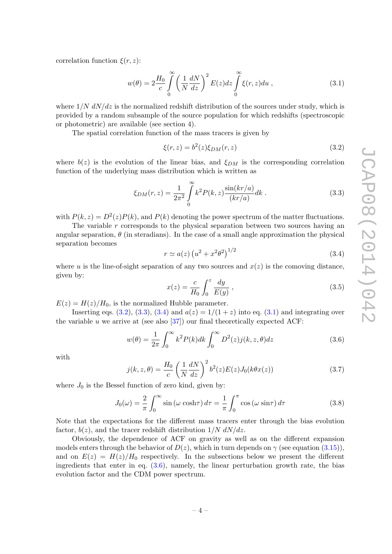correlation function  $\xi(r, z)$ :

<span id="page-5-3"></span>
$$
w(\theta) = 2\frac{H_0}{c} \int_0^\infty \left(\frac{1}{N}\frac{dN}{dz}\right)^2 E(z)dz \int_0^\infty \xi(r,z)du , \qquad (3.1)
$$

where  $1/N dN/dz$  is the normalized redshift distribution of the sources under study, which is provided by a random subsample of the source population for which redshifts (spectroscopic or photometric) are available (see section 4).

The spatial correlation function of the mass tracers is given by

<span id="page-5-0"></span>
$$
\xi(r,z) = b^2(z)\xi_{DM}(r,z) \tag{3.2}
$$

where  $b(z)$  is the evolution of the linear bias, and  $\xi_{DM}$  is the corresponding correlation function of the underlying mass distribution which is written as

<span id="page-5-1"></span>
$$
\xi_{DM}(r,z) = \frac{1}{2\pi^2} \int_{0}^{\infty} k^2 P(k,z) \frac{\sin(kr/a)}{(kr/a)} dk .
$$
 (3.3)

with  $P(k, z) = D^2(z)P(k)$ , and  $P(k)$  denoting the power spectrum of the matter fluctuations.

The variable r corresponds to the physical separation between two sources having an angular separation,  $\theta$  (in steradians). In the case of a small angle approximation the physical separation becomes

<span id="page-5-2"></span>
$$
r \simeq a(z) \left( u^2 + x^2 \theta^2 \right)^{1/2} \tag{3.4}
$$

where u is the line-of-sight separation of any two sources and  $x(z)$  is the comoving distance, given by:

$$
x(z) = \frac{c}{H_0} \int_0^z \frac{dy}{E(y)},
$$
\n(3.5)

 $E(z) = H(z)/H_0$ , is the normalized Hubble parameter.

Inserting eqs. [\(3.2\)](#page-5-0), [\(3.3\)](#page-5-1), [\(3.4\)](#page-5-2) and  $a(z) = 1/(1+z)$  into eq. [\(3.1\)](#page-5-3) and integrating over the variable u we arrive at (see also  $(37)$ ) our final theoretically expected ACF:

<span id="page-5-4"></span>
$$
w(\theta) = \frac{1}{2\pi} \int_0^\infty k^2 P(k) dk \int_0^\infty D^2(z) j(k, z, \theta) dz
$$
 (3.6)

with

$$
j(k, z, \theta) = \frac{H_0}{c} \left(\frac{1}{N} \frac{dN}{dz}\right)^2 b^2(z) E(z) J_0(k\theta x(z))
$$
\n(3.7)

where  $J_0$  is the Bessel function of zero kind, given by:

$$
J_0(\omega) = \frac{2}{\pi} \int_0^\infty \sin(\omega \cosh \tau) d\tau = \frac{1}{\pi} \int_0^\pi \cos(\omega \sin \tau) d\tau \tag{3.8}
$$

Note that the expectations for the different mass tracers enter through the bias evolution factor,  $b(z)$ , and the tracer redshift distribution  $1/N dN/dz$ .

Obviously, the dependence of ACF on gravity as well as on the different expansion models enters through the behavior of  $D(z)$ , which in turn depends on  $\gamma$  (see equation [\(3.15\)](#page-6-1)), and on  $E(z) = H(z)/H_0$  respectively. In the subsections below we present the different ingredients that enter in eq.  $(3.6)$ , namely, the linear perturbation growth rate, the bias evolution factor and the CDM power spectrum.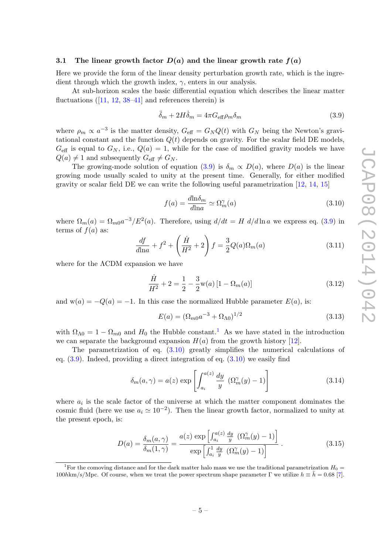#### <span id="page-6-0"></span>3.1 The linear growth factor  $D(a)$  and the linear growth rate  $f(a)$

Here we provide the form of the linear density perturbation growth rate, which is the ingredient through which the growth index,  $\gamma$ , enters in our analysis.

At sub-horizon scales the basic differential equation which describes the linear matter fluctuations $([11, 12, 38-41]$  $([11, 12, 38-41]$  $([11, 12, 38-41]$  $([11, 12, 38-41]$  $([11, 12, 38-41]$  $([11, 12, 38-41]$  and references therein) is

<span id="page-6-2"></span>
$$
\ddot{\delta}_m + 2H\dot{\delta}_m = 4\pi G_{\text{eff}}\rho_m \delta_m \tag{3.9}
$$

where  $\rho_m \propto a^{-3}$  is the matter density,  $G_{\text{eff}} = G_N Q(t)$  with  $G_N$  being the Newton's gravitational constant and the function  $Q(t)$  depends on gravity. For the scalar field DE models,  $G_{\text{eff}}$  is equal to  $G_N$ , i.e.,  $Q(a) = 1$ , while for the case of modified gravity models we have  $Q(a) \neq 1$  and subsequently  $G_{\text{eff}} \neq G_N$ .

The growing-mode solution of equation [\(3.9\)](#page-6-2) is  $\delta_m \propto D(a)$ , where  $D(a)$  is the linear growing mode usually scaled to unity at the present time. Generally, for either modified gravity or scalar field DE we can write the following useful parametrization [\[12,](#page-18-7) [14,](#page-18-5) [15\]](#page-18-6)

<span id="page-6-4"></span>
$$
f(a) = \frac{d \ln \delta_m}{d \ln a} \simeq \Omega_m^{\gamma}(a)
$$
\n(3.10)

where  $\Omega_m(a) = \Omega_{m0} a^{-3} / E^2(a)$ . Therefore, using  $d/dt = H d/d \ln a$  we express eq. [\(3.9\)](#page-6-2) in terms of  $f(a)$  as:

<span id="page-6-5"></span>
$$
\frac{df}{dln a} + f^2 + \left(\frac{\dot{H}}{H^2} + 2\right)f = \frac{3}{2}Q(a)\Omega_m(a)
$$
\n(3.11)

where for the ΛCDM expansion we have

$$
\frac{\dot{H}}{H^2} + 2 = \frac{1}{2} - \frac{3}{2} \mathbf{w}(a) \left[ 1 - \Omega_m(a) \right]
$$
\n(3.12)

and  $w(a) = -Q(a) = -1$ . In this case the normalized Hubble parameter  $E(a)$ , is:

$$
E(a) = (\Omega_{m0}a^{-3} + \Omega_{\Lambda 0})^{1/2}
$$
\n(3.13)

with  $\Omega_{\Lambda 0} = 1 - \Omega_{m0}$  $\Omega_{\Lambda 0} = 1 - \Omega_{m0}$  $\Omega_{\Lambda 0} = 1 - \Omega_{m0}$  and  $H_0$  the Hubble constant.<sup>1</sup> As we have stated in the introduction we can separate the background expansion  $H(a)$  from the growth history [\[12\]](#page-18-7).

The parametrization of eq. [\(3.10\)](#page-6-4) greatly simplifies the numerical calculations of eq. [\(3.9\)](#page-6-2). Indeed, providing a direct integration of eq. [\(3.10\)](#page-6-4) we easily find

<span id="page-6-6"></span>
$$
\delta_m(a,\gamma) = a(z) \exp\left[\int_{a_i}^{a(z)} \frac{dy}{y} \left(\Omega_m^{\gamma}(y) - 1\right)\right]
$$
\n(3.14)

where  $a_i$  is the scale factor of the universe at which the matter component dominates the cosmic fluid (here we use  $a_i \simeq 10^{-2}$ ). Then the linear growth factor, normalized to unity at the present epoch, is:

<span id="page-6-1"></span>
$$
D(a) = \frac{\delta_m(a, \gamma)}{\delta_m(1, \gamma)} = \frac{a(z) \exp\left[\int_{a_i}^{a(z)} \frac{dy}{y} \left(\Omega_m^{\gamma}(y) - 1\right)\right]}{\exp\left[\int_{a_i}^{1} \frac{dy}{y} \left(\Omega_m^{\gamma}(y) - 1\right)\right]}.
$$
\n(3.15)

<span id="page-6-3"></span><sup>&</sup>lt;sup>1</sup>For the comoving distance and for the dark matter halo mass we use the traditional parametrization  $H_0 =$ 100hkm/s/Mpc. Of course, when we treat the power spectrum shape parameter Γ we utilize  $h \equiv \tilde{h} = 0.68$  [\[7\]](#page-18-0).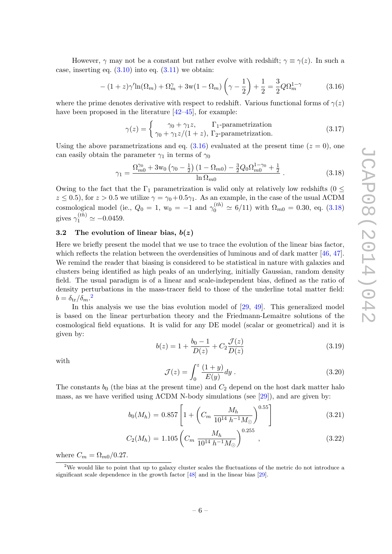However,  $\gamma$  may not be a constant but rather evolve with redshift;  $\gamma \equiv \gamma(z)$ . In such a case, inserting eq.  $(3.10)$  into eq.  $(3.11)$  we obtain:

<span id="page-7-1"></span>
$$
-(1+z)\gamma'\ln(\Omega_m) + \Omega_m^{\gamma} + 3w(1-\Omega_m)\left(\gamma - \frac{1}{2}\right) + \frac{1}{2} = \frac{3}{2}Q\Omega_m^{1-\gamma}
$$
 (3.16)

where the prime denotes derivative with respect to redshift. Various functional forms of  $\gamma(z)$ have been proposed in the literature  $[42-45]$  $[42-45]$ , for example:

$$
\gamma(z) = \begin{cases} \gamma_0 + \gamma_1 z, & \Gamma_1 \text{-parametrization} \\ \gamma_0 + \gamma_1 z/(1+z), & \Gamma_2 \text{-parametrization.} \end{cases}
$$
\n(3.17)

Using the above parametrizations and eq.  $(3.16)$  evaluated at the present time  $(z = 0)$ , one can easily obtain the parameter  $\gamma_1$  in terms of  $\gamma_0$ 

<span id="page-7-2"></span>
$$
\gamma_1 = \frac{\Omega_{m0}^{\gamma_0} + 3w_0 \left(\gamma_0 - \frac{1}{2}\right) \left(1 - \Omega_{m0}\right) - \frac{3}{2} Q_0 \Omega_{m0}^{1 - \gamma_0} + \frac{1}{2}}{\ln \Omega_{m0}}\,. \tag{3.18}
$$

Owing to the fact that the  $\Gamma_1$  parametrization is valid only at relatively low redshifts (0  $\leq$  $z \le 0.5$ , for  $z > 0.5$  we utilize  $\gamma = \gamma_0 + 0.5\gamma_1$ . As an example, in the case of the usual ACDM cosmological model (ie.,  $Q_0 = 1$ ,  $w_0 = -1$  and  $\gamma_0^{(th)} \approx 6/11$ ) with  $\Omega_{m0} = 0.30$ , eq. [\(3.18\)](#page-7-2) gives  $\gamma_1^{(th)} \simeq -0.0459$ .

# <span id="page-7-0"></span>3.2 The evolution of linear bias,  $b(z)$

Here we briefly present the model that we use to trace the evolution of the linear bias factor, which reflects the relation between the overdensities of luminous and of dark matter [\[46,](#page-19-13) [47\]](#page-19-14). We remind the reader that biasing is considered to be statistical in nature with galaxies and clusters being identified as high peaks of an underlying, initially Gaussian, random density field. The usual paradigm is of a linear and scale-independent bias, defined as the ratio of density perturbations in the mass-tracer field to those of the underline total matter field:  $b = \delta_{\rm tr}/\delta_m$ .<sup>[2](#page-7-3)</sup>

In this analysis we use the bias evolution model of [\[29,](#page-19-0) [49\]](#page-20-0). This generalized model is based on the linear perturbation theory and the Friedmann-Lemaitre solutions of the cosmological field equations. It is valid for any DE model (scalar or geometrical) and it is given by:

$$
b(z) = 1 + \frac{b_0 - 1}{D(z)} + C_2 \frac{\mathcal{J}(z)}{D(z)}
$$
(3.19)

with

$$
\mathcal{J}(z) = \int_0^z \frac{(1+y)}{E(y)} dy.
$$
\n(3.20)

The constants  $b_0$  (the bias at the present time) and  $C_2$  depend on the host dark matter halo mass, as we have verified using  $\Lambda$ CDM N-body simulations (see [\[29\]](#page-19-0)), and are given by:

$$
b_0(M_h) = 0.857 \left[ 1 + \left( C_m \frac{M_h}{10^{14} h^{-1} M_\odot} \right)^{0.55} \right] \tag{3.21}
$$

$$
C_2(M_h) = 1.105 \left( C_m \frac{M_h}{10^{14} h^{-1} M_\odot} \right)^{0.255}, \qquad (3.22)
$$

where  $C_m = \Omega_{m0}/0.27$ .

<span id="page-7-3"></span><sup>&</sup>lt;sup>2</sup>We would like to point that up to galaxy cluster scales the fluctuations of the metric do not introduce a significant scale dependence in the growth factor [\[48\]](#page-20-1) and in the linear bias [\[29\]](#page-19-0).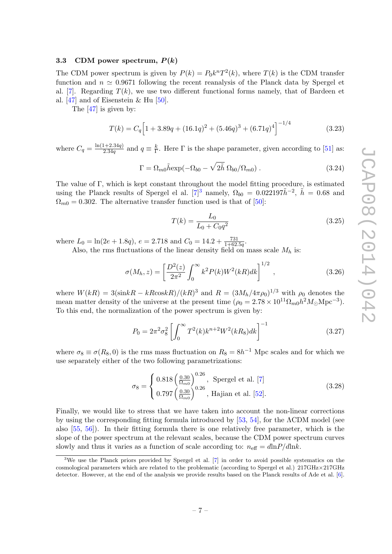#### <span id="page-8-0"></span>3.3 CDM power spectrum,  $P(k)$

The CDM power spectrum is given by  $P(k) = P_0 k^n T^2(k)$ , where  $T(k)$  is the CDM transfer function and  $n \approx 0.9671$  following the recent reanalysis of the Planck data by Spergel et al. [\[7\]](#page-18-0). Regarding  $T(k)$ , we use two different functional forms namely, that of Bardeen et al. [\[47\]](#page-19-14) and of Eisenstein & Hu [\[50\]](#page-20-2).

The [\[47\]](#page-19-14) is given by:

$$
T(k) = C_q \left[ 1 + 3.89q + (16.1q)^2 + (5.46q)^3 + (6.71q)^4 \right]^{-1/4}
$$
 (3.23)

where  $C_q = \frac{\ln(1+2.34q)}{2.34q}$  $\frac{q+2.34q}{2.34q}$  and  $q \equiv \frac{k}{\Gamma}$  $\frac{k}{\Gamma}$ . Here Γ is the shape parameter, given according to [\[51\]](#page-20-3) as:

$$
\Gamma = \Omega_{m0} \tilde{h} \exp(-\Omega_{b0} - \sqrt{2\tilde{h}} \ \Omega_{b0}/\Omega_{m0}). \qquad (3.24)
$$

The value of Γ, which is kept constant throughout the model fitting procedure, is estimated using the Planck results of Spergel el al.  $[7]^3$  $[7]^3$  namely,  $\Omega_{b0} = 0.022197\tilde{h}^{-2}$ ,  $\tilde{h} = 0.68$  and  $\Omega_{m0} = 0.302$ . The alternative transfer function used is that of [\[50\]](#page-20-2):

$$
T(k) = \frac{L_0}{L_0 + C_0 q^2} \tag{3.25}
$$

where  $L_0 = \ln(2e + 1.8q)$ ,  $e = 2.718$  and  $C_0 = 14.2 + \frac{731}{1+62.5q}$ .

Also, the rms fluctuations of the linear density field on mass scale  $M_h$  is:

$$
\sigma(M_h, z) = \left[\frac{D^2(z)}{2\pi^2} \int_0^\infty k^2 P(k) W^2(kR) dk\right]^{1/2}, \qquad (3.26)
$$

where  $W(kR) = 3(\text{sin}kR - kR\text{cos}kR)/(kR)^3$  and  $R = (3M_h/4\pi\rho_0)^{1/3}$  with  $\rho_0$  denotes the mean matter density of the universe at the present time  $(\rho_0 = 2.78 \times 10^{11} \Omega_{m0} h^2 M_{\odot} \text{Mpc}^{-3}).$ To this end, the normalization of the power spectrum is given by:

$$
P_0 = 2\pi^2 \sigma_8^2 \left[ \int_0^\infty T^2(k) k^{n+2} W^2(kR_8) dk \right]^{-1} \tag{3.27}
$$

where  $\sigma_8 \equiv \sigma(R_8, 0)$  is the rms mass fluctuation on  $R_8 = 8h^{-1}$  Mpc scales and for which we use separately either of the two following parametrizations:

<span id="page-8-2"></span>
$$
\sigma_8 = \begin{cases} 0.818 \left(\frac{0.30}{\Omega_{m0}}\right)^{0.26}, & \text{Spergel et al. [7]}\\ 0.797 \left(\frac{0.30}{\Omega_{m0}}\right)^{0.26}, & \text{Hajian et al. [52].} \end{cases}
$$
(3.28)

Finally, we would like to stress that we have taken into account the non-linear corrections by using the corresponding fitting formula introduced by [\[53,](#page-20-5) [54\]](#page-20-6), for the ΛCDM model (see also [\[55,](#page-20-7) [56\]](#page-20-8)). In their fitting formula there is one relatively free parameter, which is the slope of the power spectrum at the relevant scales, because the CDM power spectrum curves slowly and thus it varies as a function of scale according to:  $n_{\text{eff}} = d\text{ln}P/d\text{ln}k$ .

<span id="page-8-1"></span><sup>3</sup>We use the Planck priors provided by Spergel et al. [\[7\]](#page-18-0) in order to avoid possible systematics on the cosmological parameters which are related to the problematic (according to Spergel et al.) 217GHz×217GHz detector. However, at the end of the analysis we provide results based on the Planck results of Ade et al. [\[6\]](#page-17-1).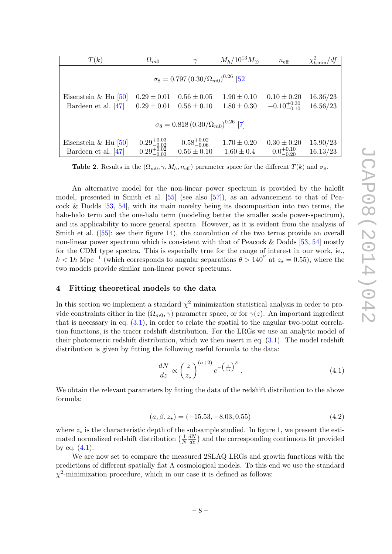| T(k)                                              | $\Omega_{m0}$          | $\gamma$               | $M_h/10^{13} M_{\odot}$ | $n_{\text{eff}}$        | $\chi^2_{t,\text{min}}/df$ |  |
|---------------------------------------------------|------------------------|------------------------|-------------------------|-------------------------|----------------------------|--|
| $\sigma_8 = 0.797 (0.30/\Omega_{m0})^{0.26}$ [52] |                        |                        |                         |                         |                            |  |
| Eisenstein & Hu $[50]$                            | $0.29 \pm 0.01$        | $0.56 \pm 0.05$        | $1.90 \pm 0.10$         | $0.10 \pm 0.20$         | 16.36/23                   |  |
| Bardeen et al. $[47]$                             | $0.29 \pm 0.01$        | $0.56 \pm 0.10$        | $1.80 \pm 0.30$         | $-0.10^{+0.30}_{-0.10}$ | 16.56/23                   |  |
| $\sigma_8 = 0.818 (0.30/\Omega_{m0})^{0.26}$ [7]  |                        |                        |                         |                         |                            |  |
|                                                   |                        |                        |                         |                         |                            |  |
| Eisenstein & Hu $[50]$                            | $0.29^{+0.03}_{-0.02}$ | $0.58^{+0.02}_{-0.06}$ | $1.70 \pm 0.20$         | $0.30 \pm 0.20$         | 15.90/23                   |  |
| Bardeen et al. $[47]$                             | $0.29_{-0.03}^{+0.02}$ | $0.56 \pm 0.10$        | $1.60 \pm 0.4$          | $0.0^{+0.10}_{-0.20}$   | 16.13/23                   |  |

**Table 2.** Results in the  $(\Omega_{m0}, \gamma, M_h, n_{\text{eff}})$  parameter space for the different  $T(k)$  and  $\sigma_8$ .

An alternative model for the non-linear power spectrum is provided by the halofit model, presented in Smith et al. [\[55\]](#page-20-7) (see also [\[57\]](#page-20-9)), as an advancement to that of Peacock & Dodds  $[53, 54]$  $[53, 54]$ , with its main novelty being its decomposition into two terms, the halo-halo term and the one-halo term (modeling better the smaller scale power-spectrum), and its applicability to more general spectra. However, as it is evident from the analysis of Smithet al. ([\[55\]](#page-20-7): see their figure 14), the convolution of the two terms provide an overall non-linear power spectrum which is consistent with that of Peacock & Dodds [\[53,](#page-20-5) [54\]](#page-20-6) mostly for the CDM type spectra. This is especially true for the range of interest in our work, ie.,  $k < 1h$  Mpc<sup>-1</sup> (which corresponds to angular separations  $\theta > 140''$  at  $z_* = 0.55$ ), where the two models provide similar non-linear power spectrums.

#### <span id="page-9-0"></span>4 Fitting theoretical models to the data

In this section we implement a standard  $\chi^2$  minimization statistical analysis in order to provide constraints either in the  $(\Omega_{m0}, \gamma)$  parameter space, or for  $\gamma(z)$ . An important ingredient that is necessary in eq.  $(3.1)$ , in order to relate the spatial to the angular two-point correlation functions, is the tracer redshift distribution. For the LRGs we use an analytic model of their photometric redshift distribution, which we then insert in eq.  $(3.1)$ . The model redshift distribution is given by fitting the following useful formula to the data:

<span id="page-9-1"></span>
$$
\frac{dN}{dz} \propto \left(\frac{z}{z_{\star}}\right)^{(a+2)} e^{-\left(\frac{z}{z_{\star}}\right)^{\beta}}.
$$
\n(4.1)

We obtain the relevant parameters by fitting the data of the redshift distribution to the above formula:

$$
(a, \beta, z_{\star}) = (-15.53, -8.03, 0.55) \tag{4.2}
$$

where  $z_{\star}$  is the characteristic depth of the subsample studied. In figure 1, we present the estimated normalized redshift distribution  $\left(\frac{1}{N}\right)$ N  $\frac{dN}{dz}$ ) and the corresponding continuous fit provided by eq.  $(4.1)$ .

We are now set to compare the measured 2SLAQ LRGs and growth functions with the predictions of different spatially flat  $\Lambda$  cosmological models. To this end we use the standard  $\chi^2$ -minimization procedure, which in our case it is defined as follows: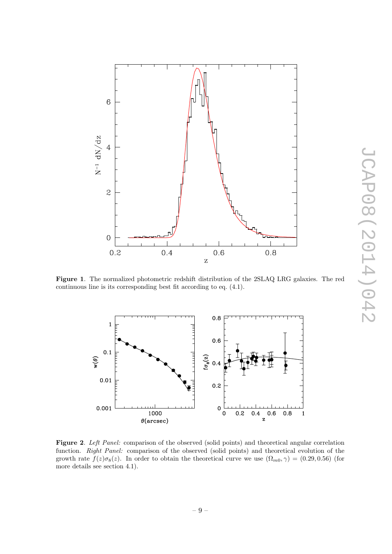

Figure 1. The normalized photometric redshift distribution of the 2SLAQ LRG galaxies. The red continuous line is its corresponding best fit according to eq. (4.1).



Figure 2. Left Panel: comparison of the observed (solid points) and theoretical angular correlation function. Right Panel: comparison of the observed (solid points) and theoretical evolution of the growth rate  $f(z)\sigma_8(z)$ . In order to obtain the theoretical curve we use  $(\Omega_{m0}, \gamma) = (0.29, 0.56)$  (for more details see section 4.1).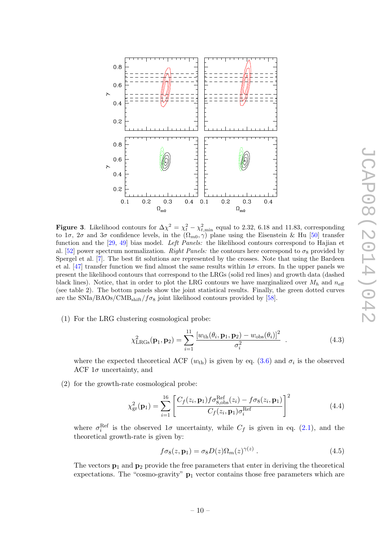

**Figure 3.** Likelihood contours for  $\Delta \chi^2 = \chi_t^2 - \chi_{t,\text{min}}^2$  equal to 2.32, 6.18 and 11.83, corresponding to  $1\sigma$ ,  $2\sigma$  and  $3\sigma$  confidence levels, in the  $(\Omega_{m0}, \gamma)$  plane using the Eisenstein & Hu [\[50\]](#page-20-2) transfer function and the [\[29,](#page-19-0) [49\]](#page-20-0) bias model. Left Panels: the likelihood contours correspond to Hajian et al. [\[52\]](#page-20-4) power spectrum normalization. Right Panels: the contours here correspond to  $\sigma_8$  provided by Spergel et al. [\[7\]](#page-18-0). The best fit solutions are represented by the crosses. Note that using the Bardeen et al. [\[47\]](#page-19-14) transfer function we find almost the same results within  $1\sigma$  errors. In the upper panels we present the likelihood contours that correspond to the LRGs (solid red lines) and growth data (dashed black lines). Notice, that in order to plot the LRG contours we have marginalized over  $M_h$  and  $n_{\text{eff}}$ (see table 2). The bottom panels show the joint statistical results. Finally, the green dotted curves are the SNIa/BAOs/CMB<sub>shift</sub>/ $f\sigma_8$  joint likelihood contours provided by [\[58\]](#page-20-10).

(1) For the LRG clustering cosmological probe:

$$
\chi^{2}_{LRGs}(\mathbf{p}_1, \mathbf{p}_2) = \sum_{i=1}^{11} \frac{[w_{\text{th}}(\theta_i, \mathbf{p}_1, \mathbf{p}_2) - w_{\text{obs}}(\theta_i)]^2}{\sigma_i^2} . \qquad (4.3)
$$

where the expected theoretical ACF  $(w_{th})$  is given by eq. [\(3.6\)](#page-5-4) and  $\sigma_i$  is the observed ACF  $1\sigma$  uncertainty, and

(2) for the growth-rate cosmological probe:

$$
\chi_{\rm gr}^{2}(\mathbf{p}_{1}) = \sum_{i=1}^{16} \left[ \frac{C_{f}(z_{i}, \mathbf{p}_{1}) f \sigma_{8, \rm obs}^{\rm Ref}(z_{i}) - f \sigma_{8}(z_{i}, \mathbf{p}_{1})}{C_{f}(z_{i}, \mathbf{p}_{1}) \sigma_{i}^{\rm Ref}} \right]^{2}
$$
(4.4)

where  $\sigma_i^{\text{Ref}}$  is the observed  $1\sigma$  uncertainty, while  $C_f$  is given in eq. [\(2.1\)](#page-4-1), and the theoretical growth-rate is given by:

$$
f\sigma_8(z,\mathbf{p}_1) = \sigma_8 D(z)\Omega_m(z)^{\gamma(z)}.
$$
\n(4.5)

The vectors  $\mathbf{p}_1$  and  $\mathbf{p}_2$  provide the free parameters that enter in deriving the theoretical expectations. The "cosmo-gravity"  $p_1$  vector contains those free parameters which are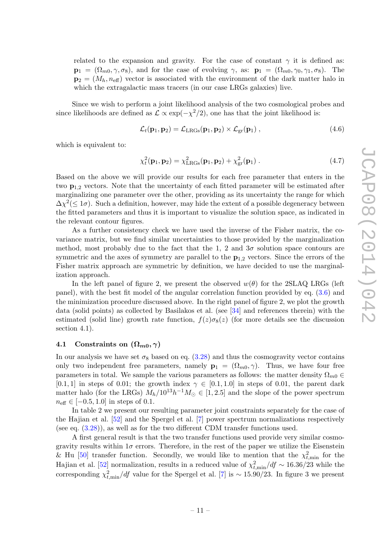related to the expansion and gravity. For the case of constant  $\gamma$  it is defined as:  $\mathbf{p}_1 = (\Omega_{m0}, \gamma, \sigma_8)$ , and for the case of evolving  $\gamma$ , as:  $\mathbf{p}_1 = (\Omega_{m0}, \gamma_0, \gamma_1, \sigma_8)$ . The  $\mathbf{p}_2 = (M_h, n_{\text{eff}})$  vector is associated with the environment of the dark matter halo in which the extragalactic mass tracers (in our case LRGs galaxies) live.

Since we wish to perform a joint likelihood analysis of the two cosmological probes and since likelihoods are defined as  $\mathcal{L} \propto \exp(-\chi^2/2)$ , one has that the joint likelihood is:

$$
\mathcal{L}_t(\mathbf{p}_1, \mathbf{p}_2) = \mathcal{L}_{LRGs}(\mathbf{p}_1, \mathbf{p}_2) \times \mathcal{L}_{gr}(\mathbf{p}_1) ,
$$
\n(4.6)

which is equivalent to:

$$
\chi_t^2(\mathbf{p}_1, \mathbf{p}_2) = \chi_{LRGs}^2(\mathbf{p}_1, \mathbf{p}_2) + \chi_{gr}^2(\mathbf{p}_1).
$$
 (4.7)

Based on the above we will provide our results for each free parameter that enters in the two  $p_{1,2}$  vectors. Note that the uncertainty of each fitted parameter will be estimated after marginalizing one parameter over the other, providing as its uncertainty the range for which  $\Delta \chi^2 (\leq 1\sigma)$ . Such a definition, however, may hide the extent of a possible degeneracy between the fitted parameters and thus it is important to visualize the solution space, as indicated in the relevant contour figures.

As a further consistency check we have used the inverse of the Fisher matrix, the covariance matrix, but we find similar uncertainties to those provided by the marginalization method, most probably due to the fact that the 1, 2 and  $3\sigma$  solution space contours are symmetric and the axes of symmetry are parallel to the  $p_{1,2}$  vectors. Since the errors of the Fisher matrix approach are symmetric by definition, we have decided to use the marginalization approach.

In the left panel of figure 2, we present the observed  $w(\theta)$  for the 2SLAQ LRGs (left panel), with the best fit model of the angular correlation function provided by eq. [\(3.6\)](#page-5-4) and the minimization procedure discussed above. In the right panel of figure 2, we plot the growth data (solid points) as collected by Basilakos et al. (see [\[34\]](#page-19-5) and references therein) with the estimated (solid line) growth rate function,  $f(z)\sigma_8(z)$  (for more details see the discussion section 4.1).

#### <span id="page-12-0"></span>4.1 Constraints on  $(\Omega_{m0}, \gamma)$

In our analysis we have set  $\sigma_8$  based on eq. [\(3.28\)](#page-8-2) and thus the cosmogravity vector contains only two independent free parameters, namely  $\mathbf{p}_1 = (\Omega_{m0}, \gamma)$ . Thus, we have four free parameters in total. We sample the various parameters as follows: the matter density  $\Omega_{m0}$  ∈ [0.1, 1] in steps of 0.01; the growth index  $\gamma \in [0.1, 1.0]$  in steps of 0.01, the parent dark matter halo (for the LRGs)  $M_h/10^{13}h^{-1}M_{\odot} \in [1, 2.5]$  and the slope of the power spectrum  $n_{\text{eff}} \in [-0.5, 1.0]$  in steps of 0.1.

In table 2 we present our resulting parameter joint constraints separately for the case of the Hajian et al. [\[52\]](#page-20-4) and the Spergel et al. [\[7\]](#page-18-0) power spectrum normalizations respectively (see eq. [\(3.28\)](#page-8-2)), as well as for the two different CDM transfer functions used.

A first general result is that the two transfer functions used provide very similar cosmogravity results within  $1\sigma$  errors. Therefore, in the rest of the paper we utilize the Eisenstein & Hu [\[50\]](#page-20-2) transfer function. Secondly, we would like to mention that the  $\chi^2_{t,\text{min}}$  for the Hajian et al. [\[52\]](#page-20-4) normalization, results in a reduced value of  $\chi^2_{t,\text{min}}/df \sim 16.36/23$  while the corresponding  $\chi_{t,\text{min}}^2/df$  value for the Spergel et al. [\[7\]](#page-18-0) is ~ 15.90/23. In figure 3 we present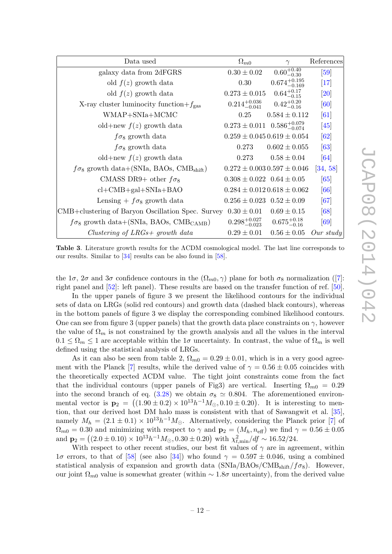| Data used                                                   | $\Omega_{m0}$                               | $\gamma$                            | References         |
|-------------------------------------------------------------|---------------------------------------------|-------------------------------------|--------------------|
| galaxy data from 2dFGRS                                     | $0.30 \pm 0.02$                             | $0.60^{+0.40}_{-0.30}$              | [59]               |
| old $f(z)$ growth data                                      | 0.30                                        | $0.674^{+0.195}_{-0.169}$           | $\left[17\right]$  |
| old $f(z)$ growth data                                      | $0.273 \pm 0.015$                           | $0.64^{+0.17}_{-0.15}$              | [20]               |
| X-ray cluster luminocity function+ $f_{\text{gas}}$         | $0.214^{+0.036}_{-0.041}$                   | $0.42^{+0.20}_{-0.16}$              | [60]               |
| WMAP+SNIa+MCMC                                              | 0.25                                        | $0.584 \pm 0.112$                   | [61]               |
| old+new $f(z)$ growth data                                  | $0.273 \pm 0.011$ $0.586^{+0.079}_{-0.074}$ |                                     | [45]               |
| $f\sigma_8$ growth data                                     |                                             | $0.259 \pm 0.045$ $0.619 \pm 0.054$ | $\lceil 62 \rceil$ |
| $f\sigma_8$ growth data                                     | 0.273                                       | $0.602 \pm 0.055$                   | $\left[63\right]$  |
| old+new $f(z)$ growth data                                  | 0.273                                       | $0.58 \pm 0.04$                     | [64]               |
| $f\sigma_8$ growth data+(SNIa, BAOs, CMB <sub>shift</sub> ) |                                             | $0.272 \pm 0.003$ $0.597 \pm 0.046$ | [34, 58]           |
| CMASS DR9+ other $f\sigma_8$                                | $0.308 \pm 0.022$ $0.64 \pm 0.05$           |                                     | $\left[65\right]$  |
| $cl+CMB+gal+SNIa+BAO$                                       |                                             | $0.284 \pm 0.012$ $0.618 \pm 0.062$ | [66]               |
| Lensing $+ f \sigma_8$ growth data                          | $0.256 \pm 0.023$ $0.52 \pm 0.09$           |                                     | [67]               |
| CMB+clustering of Baryon Oscillation Spec. Survey           | $0.30 \pm 0.01$                             | $0.69 \pm 0.15$                     | [68]               |
| $f\sigma_8$ growth data+(SNIa, BAOs, CMB <sub>CAMB</sub> )  | $0.298^{+0.027}_{-0.023}$                   | $0.675^{+0.18}_{-0.16}$             | [69]               |
| Clustering of $LRGs+$ growth data                           | $0.29 \pm 0.01$                             | $0.56 \pm 0.05$                     | Our study          |

Table 3. Literature growth results for the ΛCDM cosmological model. The last line corresponds to our results. Similar to [\[34\]](#page-19-5) results can be also found in [\[58\]](#page-20-10).

the1 $\sigma$ ,  $2\sigma$  and  $3\sigma$  confidence contours in the  $(\Omega_{m0}, \gamma)$  plane for both  $\sigma_8$  normalization ([\[7\]](#page-18-0): right panel and [\[52\]](#page-20-4): left panel). These results are based on the transfer function of ref. [\[50\]](#page-20-2).

In the upper panels of figure 3 we present the likelihood contours for the individual sets of data on LRGs (solid red contours) and growth data (dashed black contours), whereas in the bottom panels of figure 3 we display the corresponding combined likelihood contours. One can see from figure 3 (upper panels) that the growth data place constraints on  $\gamma$ , however the value of  $\Omega_m$  is not constrained by the growth analysis and all the values in the interval  $0.1 \leq \Omega_m \leq 1$  are acceptable within the  $1\sigma$  uncertainty. In contrast, the value of  $\Omega_m$  is well defined using the statistical analysis of LRGs.

As it can also be seen from table 2,  $\Omega_{m0} = 0.29 \pm 0.01$ , which is in a very good agree-ment with the Planck [\[7\]](#page-18-0) results, while the derived value of  $\gamma = 0.56 \pm 0.05$  coincides with the theoretically expected ΛCDM value. The tight joint constraints come from the fact that the individual contours (upper panels of Fig3) are vertical. Inserting  $\Omega_{m0} = 0.29$ into the second branch of eq. [\(3.28\)](#page-8-2) we obtain  $\sigma_8 \simeq 0.804$ . The aforementioned environmental vector is  $\mathbf{p}_2 = ((1.90 \pm 0.2) \times 10^{13} h^{-1} M_{\odot}, 0.10 \pm 0.20)$ . It is interesting to mention, that our derived host DM halo mass is consistent with that of Sawangwit et al. [\[35\]](#page-19-6), namely  $M_h = (2.1 \pm 0.1) \times 10^{13} h^{-1} M_{\odot}$ . Alternatively, considering the Planck prior [\[7\]](#page-18-0) of  $\Omega_{m0} = 0.30$  and minimizing with respect to  $\gamma$  and  $\mathbf{p}_2 = (M_h, n_{\text{eff}})$  we find  $\gamma = 0.56 \pm 0.05$ and  $\mathbf{p}_2 = ((2.0 \pm 0.10) \times 10^{13} h^{-1} M_\odot, 0.30 \pm 0.20)$  with  $\chi^2_{t,\text{min}}/df \sim 16.52/24$ .

With respect to other recent studies, our best fit values of  $\gamma$  are in agreement, within  $1\sigma$  errors, to that of [\[58\]](#page-20-10) (see also [\[34\]](#page-19-5)) who found  $\gamma = 0.597 \pm 0.046$ , using a combined statistical analysis of expansion and growth data  $(SNIa/BAOs/CMB<sub>shift</sub>/f\sigma_8)$ . However, our joint  $\Omega_{m0}$  value is somewhat greater (within ~ 1.8 $\sigma$  uncertainty), from the derived value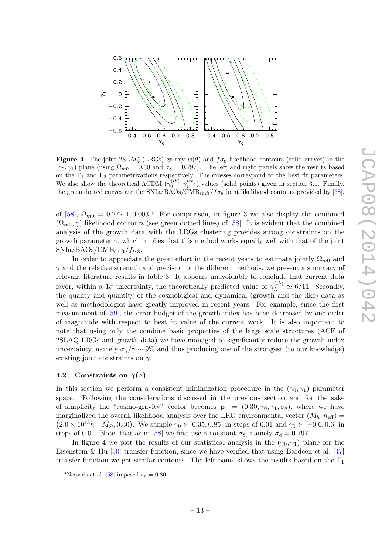

Figure 4. The joint 2SLAQ (LRGs) galaxy  $w(\theta)$  and  $f\sigma_8$  likelihood contours (solid curves) in the  $(\gamma_0, \gamma_1)$  plane (using  $\Omega_{m0} = 0.30$  and  $\sigma_8 = 0.797$ ). The left and right panels show the results based on the  $\Gamma_1$  and  $\Gamma_2$  parametrizations respectively. The crosses correspond to the best fit parameters. We also show the theoretical  $\Lambda$ CDM  $(\gamma_0^{(th)}, \gamma_1^{(th)})$  values (solid points) given in section 3.1. Finally, the green dotted curves are the  $\text{SNIa/BAOs}/\text{CMB}_{\text{shift}}/f\sigma_8$  joint likelihood contours provided by [\[58\]](#page-20-10).

of [\[58\]](#page-20-10),  $\Omega_{m0} = 0.272 \pm 0.003$ .<sup>[4](#page-14-1)</sup> For comparison, in figure 3 we also display the combined  $(\Omega_{m0}, \gamma)$  likelihood contours (see green dotted lines) of [\[58\]](#page-20-10). It is evident that the combined analysis of the growth data with the LRGs clustering provides strong constraints on the growth parameter  $\gamma$ , which implies that this method works equally well with that of the joint  $SNIa/BAOs/CMB<sub>shift</sub>/f\sigma_8.$ 

In order to appreciate the great effort in the recent years to estimate jointly  $\Omega_{m0}$  and  $\gamma$  and the relative strength and precision of the different methods, we present a summary of relevant literature results in table 3. It appears unavoidable to conclude that current data favor, within a 1 $\sigma$  uncertainty, the theoretically predicted value of  $\gamma_{\Lambda}^{(th)} \simeq 6/11$ . Secondly, the quality and quantity of the cosmological and dynamical (growth and the like) data as well as methodologies have greatly improved in recent years. For example, since the first measurement of [\[59\]](#page-20-11), the error budget of the growth index has been decreased by one order of magnitude with respect to best fit value of the current work. It is also important to note that using only the combine basic properties of the large scale structures (ACF of 2SLAQ LRGs and growth data) we have managed to significantly reduce the growth index uncertainty, namely  $\sigma_{\gamma}/\gamma \sim 9\%$  and thus producing one of the strongest (to our knowledge) existing joint constraints on  $\gamma$ .

#### <span id="page-14-0"></span>4.2 Constraints on  $\gamma(z)$

In this section we perform a consistent minimization procedure in the  $(\gamma_0, \gamma_1)$  parameter space. Following the considerations discussed in the previous section and for the sake of simplicity the "cosmo-gravity" vector becomes  $\mathbf{p}_1 = (0.30, \gamma_0, \gamma_1, \sigma_8)$ , where we have marginalized the overall likelihood analysis over the LRG environmental vector  $(M_h, n_{\text{eff}})$  =  $(2.0 \times 10^{13} h^{-1} M_{\odot}, 0.30)$ . We sample  $\gamma_0 \in [0.35, 0.85]$  in steps of 0.01 and  $\gamma_1 \in [-0.6, 0.6]$  in steps of 0.01. Note, that as in [\[58\]](#page-20-10) we first use a constant  $\sigma_8$ , namely  $\sigma_8 = 0.797$ .

In figure 4 we plot the results of our statistical analysis in the  $(\gamma_0, \gamma_1)$  plane for the Eisenstein & Hu [\[50\]](#page-20-2) transfer function, since we have verified that using Bardeen et al. [\[47\]](#page-19-14) transfer function we get similar contours. The left panel shows the results based on the  $\Gamma_1$ 

<span id="page-14-1"></span><sup>&</sup>lt;sup>4</sup>Nesseris et al. [\[58\]](#page-20-10) imposed  $\sigma_8 = 0.80$ .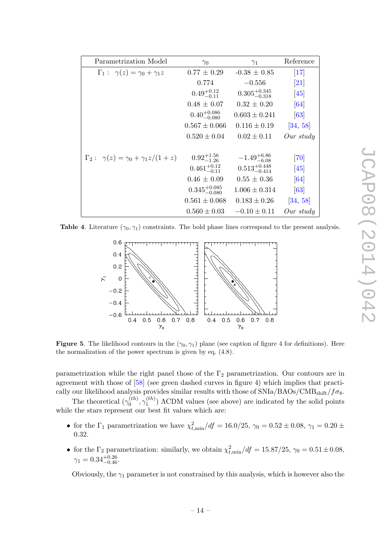| Parametrization Model                                 | $\gamma_0$                | $\gamma_1$                | Reference          |
|-------------------------------------------------------|---------------------------|---------------------------|--------------------|
| $\Gamma_1: \gamma(z) = \gamma_0 + \gamma_1 z$         | $0.77 \pm 0.29$           | $-0.38 \pm 0.85$          | $[17]$             |
|                                                       | 0.774                     | $-0.556$                  | 21                 |
|                                                       | $0.49^{+0.12}_{-0.11}$    | $0.305_{-0.318}^{+0.345}$ | [45]               |
|                                                       | $0.48 \pm 0.07$           | $0.32 \pm 0.20$           | [64]               |
|                                                       | $0.40^{+0.086}_{-0.080}$  | $0.603 \pm 0.241$         | $\lceil 63 \rceil$ |
|                                                       | $0.567 \pm 0.066$         | $0.116 \pm 0.19$          | [34, 58]           |
|                                                       | $0.520 \pm 0.04$          | $0.02 \pm 0.11$           | Our study          |
| $\Gamma_2: \ \gamma(z) = \gamma_0 + \gamma_1 z/(1+z)$ | $0.92^{+1.56}_{-1.26}$    | $-1.49^{+6.86}_{-6.08}$   | [70]               |
|                                                       | $0.461^{+0.12}_{-0.11}$   | $0.513_{-0.414}^{+0.448}$ | [45]               |
|                                                       | $0.46 \pm 0.09$           | $0.55 \pm 0.36$           | $\left[64\right]$  |
|                                                       | $0.345^{+0.085}_{-0.080}$ | $1.006 \pm 0.314$         | $\lceil 63 \rceil$ |
|                                                       | $0.561 \pm 0.068$         | $0.183 \pm 0.26$          | [34, 58]           |
|                                                       | $0.560 \pm 0.03$          | $-0.10 \pm 0.11$          | Our study          |

Table 4. Literature  $(\gamma_0, \gamma_1)$  constraints. The bold phase lines correspond to the present analysis.



**Figure 5.** The likelihood contours in the  $(\gamma_0, \gamma_1)$  plane (see caption of figure 4 for definitions). Here the normalization of the power spectrum is given by eq. (4.8).

parametrization while the right panel those of the  $\Gamma_2$  parametrization. Our contours are in agreement with those of [\[58\]](#page-20-10) (see green dashed curves in figure 4) which implies that practically our likelihood analysis provides similar results with those of  $\text{SNIa/BAOs}/\text{CMB}_{\text{shift}}/f\sigma_8$ .

The theoretical  $(\gamma_0^{(th)})$  $\gamma_0^{(th)}, \gamma_1^{(th)}$  $1^{(1)}$ )  $\Lambda$ CDM values (see above) are indicated by the solid points while the stars represent our best fit values which are:

- for the  $\Gamma_1$  parametrization we have  $\chi^2_{t,\text{min}}/df = 16.0/25$ ,  $\gamma_0 = 0.52 \pm 0.08$ ,  $\gamma_1 = 0.20 \pm 0.08$ 0.32.
- for the  $\Gamma_2$  parametrization: similarly, we obtain  $\chi^2_{t,\text{min}}/df = 15.87/25$ ,  $\gamma_0 = 0.51 \pm 0.08$ ,  $\gamma_1 = 0.34_{-0.46}^{+0.26}.$

Obviously, the  $\gamma_1$  parameter is not constrained by this analysis, which is however also the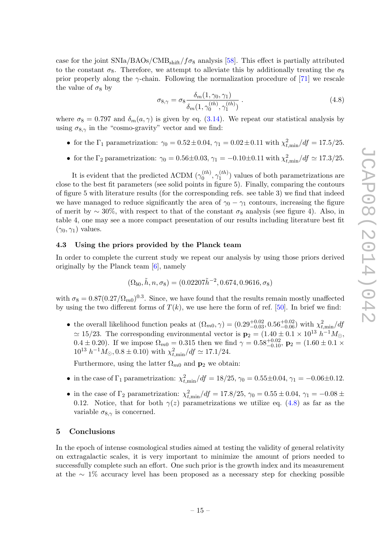case for the joint  $\text{SNIa/BAOs/CMB}_{\text{shift}}/f\sigma_8$  analysis [\[58\]](#page-20-10). This effect is partially attributed to the constant  $\sigma_8$ . Therefore, we attempt to alleviate this by additionally treating the  $\sigma_8$ prior properly along the  $\gamma$ -chain. Following the normalization procedure of [\[71\]](#page-21-5) we rescale the value of  $\sigma_8$  by

<span id="page-16-2"></span>
$$
\sigma_{8,\gamma} = \sigma_8 \frac{\delta_m(1, \gamma_0, \gamma_1)}{\delta_m(1, \gamma_0^{(th)}, \gamma_1^{(th)})} \,. \tag{4.8}
$$

where  $\sigma_8 = 0.797$  and  $\delta_m(a, \gamma)$  is given by eq. [\(3.14\)](#page-6-6). We repeat our statistical analysis by using  $\sigma_{8,\gamma}$  in the "cosmo-gravity" vector and we find:

- for the  $\Gamma_1$  parametrization:  $\gamma_0 = 0.52 \pm 0.04$ ,  $\gamma_1 = 0.02 \pm 0.11$  with  $\chi^2_{t,\text{min}}/df = 17.5/25$ .
- for the  $\Gamma_2$  parametrization:  $\gamma_0 = 0.56 \pm 0.03$ ,  $\gamma_1 = -0.10 \pm 0.11$  with  $\chi^2_{t,\text{min}}/df \simeq 17.3/25$ .

It is evident that the predicted  $\Lambda$ CDM  $(\gamma_0^{(th)}$  $\gamma_0^{(th)}, \gamma_1^{(th)}$  $1^{(th)}$ ) values of both parametrizations are close to the best fit parameters (see solid points in figure 5). Finally, comparing the contours of figure 5 with literature results (for the corresponding refs. see table 3) we find that indeed we have managed to reduce significantly the area of  $\gamma_0 - \gamma_1$  contours, increasing the figure of merit by  $\sim 30\%$ , with respect to that of the constant  $\sigma_8$  analysis (see figure 4). Also, in table 4, one may see a more compact presentation of our results including literature best fit  $(\gamma_0, \gamma_1)$  values.

### <span id="page-16-0"></span>4.3 Using the priors provided by the Planck team

In order to complete the current study we repeat our analysis by using those priors derived originally by the Planck team [\[6\]](#page-17-1), namely

$$
(\Omega_{b0}, \tilde{h}, n, \sigma_8) = (0.02207\tilde{h}^{-2}, 0.674, 0.9616, \sigma_8)
$$

with  $\sigma_8 = 0.87(0.27/\Omega_{m0})^{0.3}$ . Since, we have found that the results remain mostly unaffected by using the two different forms of  $T(k)$ , we use here the form of ref. [\[50\]](#page-20-2). In brief we find:

• the overall likelihood function peaks at  $(\Omega_{m0}, \gamma) = (0.29^{+0.02}_{-0.03}, 0.56^{+0.02}_{-0.06})$  with  $\chi^2_{t, \text{min}}/df$  $\simeq 15/23$ . The corresponding environmental vector is  $\mathbf{p}_2 = (1.40 \pm 0.1 \times 10^{13} h^{-1} M_{\odot},$ 0.4 ± 0.20). If we impose  $\Omega_{m0} = 0.315$  then we find  $\gamma = 0.58^{+0.02}_{-0.10}$ ,  $\mathbf{p}_2 = (1.60 \pm 0.1 \times 10^{-10})$  $10^{13} h^{-1} M_{\odot}$ ,  $0.8 \pm 0.10$ ) with  $\chi^2_{t, \text{min}}/df \simeq 17.1/24$ .

Furthermore, using the latter  $\Omega_{m0}$  and  $\mathbf{p}_2$  we obtain:

- in the case of  $\Gamma_1$  parametrization:  $\chi^2_{t,\text{min}}/df = 18/25$ ,  $\gamma_0 = 0.55 \pm 0.04$ ,  $\gamma_1 = -0.06 \pm 0.12$ .
- in the case of  $\Gamma_2$  parametrization:  $\chi^2_{t,\text{min}}/df = 17.8/25$ ,  $\gamma_0 = 0.55 \pm 0.04$ ,  $\gamma_1 = -0.08 \pm 0.04$ 0.12. Notice, that for both  $\gamma(z)$  parametrizations we utilize eq. [\(4.8\)](#page-16-2) as far as the variable  $\sigma_{8,\gamma}$  is concerned.

#### <span id="page-16-1"></span>5 Conclusions

In the epoch of intense cosmological studies aimed at testing the validity of general relativity on extragalactic scales, it is very important to minimize the amount of priors needed to successfully complete such an effort. One such prior is the growth index and its measurement at the ∼ 1% accuracy level has been proposed as a necessary step for checking possible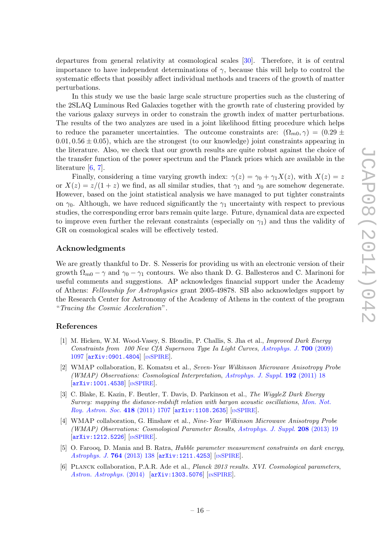departures from general relativity at cosmological scales [\[30\]](#page-19-1). Therefore, it is of central importance to have independent determinations of  $\gamma$ , because this will help to control the systematic effects that possibly affect individual methods and tracers of the growth of matter perturbations.

In this study we use the basic large scale structure properties such as the clustering of the 2SLAQ Luminous Red Galaxies together with the growth rate of clustering provided by the various galaxy surveys in order to constrain the growth index of matter perturbations. The results of the two analyzes are used in a joint likelihood fitting procedure which helps to reduce the parameter uncertainties. The outcome constraints are:  $(\Omega_{m0}, \gamma) = (0.29 \pm 0.29)$  $0.01, 0.56 \pm 0.05$ , which are the strongest (to our knowledge) joint constraints appearing in the literature. Also, we check that our growth results are quite robust against the choice of the transfer function of the power spectrum and the Planck priors which are available in the literature [\[6,](#page-17-1) [7\]](#page-18-0).

Finally, considering a time varying growth index:  $\gamma(z) = \gamma_0 + \gamma_1 X(z)$ , with  $X(z) = z$ or  $X(z) = z/(1+z)$  we find, as all similar studies, that  $\gamma_1$  and  $\gamma_0$  are somehow degenerate. However, based on the joint statistical analysis we have managed to put tighter constraints on  $\gamma_0$ . Although, we have reduced significantly the  $\gamma_1$  uncertainty with respect to previous studies, the corresponding error bars remain quite large. Future, dynamical data are expected to improve even further the relevant constraints (especially on  $\gamma_1$ ) and thus the validity of GR on cosmological scales will be effectively tested.

#### Acknowledgments

We are greatly thankful to Dr. S. Nesseris for providing us with an electronic version of their growth  $\Omega_{m0} - \gamma$  and  $\gamma_0 - \gamma_1$  contours. We also thank D. G. Ballesteros and C. Marinoni for useful comments and suggestions. AP acknowledges financial support under the Academy of Athens: Fellowship for Astrophysics grant 2005-49878. SB also acknowledges support by the Research Center for Astronomy of the Academy of Athens in the context of the program "Tracing the Cosmic Acceleration".

#### References

- <span id="page-17-0"></span>[1] M. Hicken, W.M. Wood-Vasey, S. Blondin, P. Challis, S. Jha et al., Improved Dark Energy Constraints from 100 New CfA Supernova Type Ia Light Curves, [Astrophys. J.](http://dx.doi.org/10.1088/0004-637X/700/2/1097) 700 (2009) [1097](http://dx.doi.org/10.1088/0004-637X/700/2/1097) [[arXiv:0901.4804](http://arxiv.org/abs/0901.4804)] [IN[SPIRE](http://inspirehep.net/search?p=find+J+Astrophys.J.,700,1097)].
- [2] WMAP collaboration, E. Komatsu et al., Seven-Year Wilkinson Microwave Anisotropy Probe (WMAP) Observations: Cosmological Interpretation, [Astrophys. J. Suppl.](http://dx.doi.org/10.1088/0067-0049/192/2/18) 192 (2011) 18 [[arXiv:1001.4538](http://arxiv.org/abs/1001.4538)] [IN[SPIRE](http://inspirehep.net/search?p=find+J+Astrophys.J.Supp.,192,18)].
- [3] C. Blake, E. Kazin, F. Beutler, T. Davis, D. Parkinson et al., The WiggleZ Dark Energy Survey: mapping the distance-redshift relation with baryon acoustic oscillations, [Mon. Not.](http://dx.doi.org/10.1111/j.1365-2966.2011.19592.x) [Roy. Astron. Soc.](http://dx.doi.org/10.1111/j.1365-2966.2011.19592.x) 418 (2011) 1707 [[arXiv:1108.2635](http://arxiv.org/abs/1108.2635)] [IN[SPIRE](http://inspirehep.net/search?p=find+J+Mon.Not.Roy.Astron.Soc.,418,1707)].
- [4] WMAP collaboration, G. Hinshaw et al., Nine-Year Wilkinson Microwave Anisotropy Probe (WMAP) Observations: Cosmological Parameter Results, [Astrophys. J. Suppl.](http://dx.doi.org/10.1088/0067-0049/208/2/19) 208 (2013) 19 [[arXiv:1212.5226](http://arxiv.org/abs/1212.5226)] [IN[SPIRE](http://inspirehep.net/search?p=find+J+Astrophys.J.Supp.,208,19)].
- [5] O. Farooq, D. Mania and B. Ratra, Hubble parameter measurement constraints on dark energy, [Astrophys. J.](http://dx.doi.org/10.1088/0004-637X/764/2/138) 764 (2013) 138 [[arXiv:1211.4253](http://arxiv.org/abs/1211.4253)] [IN[SPIRE](http://inspirehep.net/search?p=find+J+Astrophys.J.,764,138)].
- <span id="page-17-1"></span>[6] Planck collaboration, P.A.R. Ade et al., Planck 2013 results. XVI. Cosmological parameters, [Astron. Astrophys.](http://dx.doi.org/10.1051/0004-6361/201321591) (2014) [[arXiv:1303.5076](http://arxiv.org/abs/1303.5076)] [IN[SPIRE](http://inspirehep.net/search?p=find+EPRINT+arXiv:1303.5076)].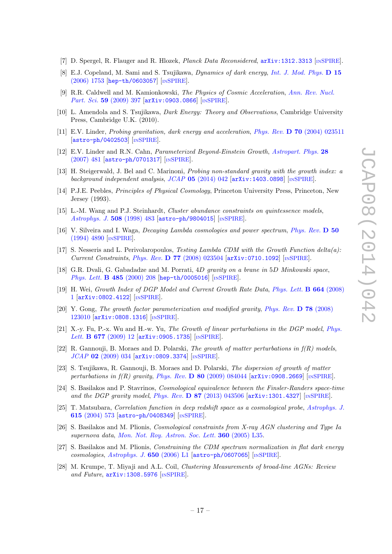- <span id="page-18-0"></span>[7] D. Spergel, R. Flauger and R. Hlozek, *Planck Data Reconsidered*,  $arXiv:1312.3313$  [IN[SPIRE](http://inspirehep.net/search?p=find+EPRINT+arXiv:1312.3313)].
- <span id="page-18-1"></span>[8] E.J. Copeland, M. Sami and S. Tsujikawa, Dynamics of dark energy, [Int. J. Mod. Phys.](http://dx.doi.org/10.1142/S021827180600942X) D 15 [\(2006\) 1753](http://dx.doi.org/10.1142/S021827180600942X) [[hep-th/0603057](http://arxiv.org/abs/hep-th/0603057)] [IN[SPIRE](http://inspirehep.net/search?p=find+J+Int.J.Mod.Phys.,D15,1753)].
- [9] R.R. Caldwell and M. Kamionkowski, The Physics of Cosmic Acceleration, [Ann. Rev. Nucl.](http://dx.doi.org/10.1146/annurev-nucl-010709-151330) Part. Sci. 59 [\(2009\) 397](http://dx.doi.org/10.1146/annurev-nucl-010709-151330) [[arXiv:0903.0866](http://arxiv.org/abs/0903.0866)] [IN[SPIRE](http://inspirehep.net/search?p=find+J+Ann.Rev.Nucl.Part.Sci.,59,397)].
- <span id="page-18-2"></span>[10] L. Amendola and S. Tsujikawa, Dark Energy: Theory and Observations, Cambridge University Press, Cambridge U.K. (2010).
- <span id="page-18-3"></span>[11] E.V. Linder, Probing gravitation, dark energy and acceleration, Phys. Rev. D 70 [\(2004\) 023511](http://dx.doi.org/10.1103/PhysRevD.70.023511) [[astro-ph/0402503](http://arxiv.org/abs/astro-ph/0402503)] [IN[SPIRE](http://inspirehep.net/search?p=find+J+Phys.Rev.,D70,023511)].
- <span id="page-18-7"></span>[12] E.V. Linder and R.N. Cahn, Parameterized Beyond-Einstein Growth, [Astropart. Phys.](http://dx.doi.org/10.1016/j.astropartphys.2007.09.003) 28 [\(2007\) 481](http://dx.doi.org/10.1016/j.astropartphys.2007.09.003) [[astro-ph/0701317](http://arxiv.org/abs/astro-ph/0701317)] [IN[SPIRE](http://inspirehep.net/search?p=find+J+Astropart.Phys.,28,481)].
- <span id="page-18-4"></span>[13] H. Steigerwald, J. Bel and C. Marinoni, Probing non-standard gravity with the growth index: a background independent analysis,  $JCAP$  05 [\(2014\) 042](http://dx.doi.org/10.1088/1475-7516/2014/05/042) [[arXiv:1403.0898](http://arxiv.org/abs/1403.0898)] [IN[SPIRE](http://inspirehep.net/search?p=find+EPRINT+arXiv:1403.0898)].
- <span id="page-18-5"></span>[14] P.J.E. Peebles, Principles of Physical Cosmology, Princeton University Press, Princeton, New Jersey (1993).
- <span id="page-18-6"></span>[15] L.-M. Wang and P.J. Steinhardt, Cluster abundance constraints on quintessence models, [Astrophys. J.](http://dx.doi.org/10.1086/306436) 508 (1998) 483 [[astro-ph/9804015](http://arxiv.org/abs/astro-ph/9804015)] [IN[SPIRE](http://inspirehep.net/search?p=find+J+Astrophys.J.,508,483)].
- [16] V. Silveira and I. Waga, Decaying Lambda cosmologies and power spectrum, [Phys. Rev.](http://dx.doi.org/10.1103/PhysRevD.50.4890) D 50 [\(1994\) 4890](http://dx.doi.org/10.1103/PhysRevD.50.4890) [IN[SPIRE](http://inspirehep.net/search?p=find+J+Phys.Rev.,D50,4890)].
- <span id="page-18-8"></span>[17] S. Nesseris and L. Perivolaropoulos, Testing Lambda CDM with the Growth Function delta $(a)$ : Current Constraints, Phys. Rev. D 77 [\(2008\) 023504](http://dx.doi.org/10.1103/PhysRevD.77.023504) [[arXiv:0710.1092](http://arxiv.org/abs/0710.1092)] [IN[SPIRE](http://inspirehep.net/search?p=find+J+Phys.Rev.,D77,023504)].
- <span id="page-18-9"></span>[18] G.R. Dvali, G. Gabadadze and M. Porrati, 4D gravity on a brane in 5D Minkowski space, [Phys. Lett.](http://dx.doi.org/10.1016/S0370-2693(00)00669-9) **B 485** (2000) 208 [[hep-th/0005016](http://arxiv.org/abs/hep-th/0005016)] [IN[SPIRE](http://inspirehep.net/search?p=find+J+Phys.Lett.,B485,208)].
- <span id="page-18-10"></span>[19] H. Wei, Growth Index of DGP Model and Current Growth Rate Data, [Phys. Lett.](http://dx.doi.org/10.1016/j.physletb.2008.04.060) B 664 (2008) [1](http://dx.doi.org/10.1016/j.physletb.2008.04.060) [[arXiv:0802.4122](http://arxiv.org/abs/0802.4122)] [IN[SPIRE](http://inspirehep.net/search?p=find+J+Phys.Lett.,B664,1)].
- <span id="page-18-17"></span>[20] Y. Gong, The growth factor parameterization and modified gravity, [Phys. Rev.](http://dx.doi.org/10.1103/PhysRevD.78.123010) D 78 (2008) [123010](http://dx.doi.org/10.1103/PhysRevD.78.123010) [[arXiv:0808.1316](http://arxiv.org/abs/0808.1316)] [IN[SPIRE](http://inspirehep.net/search?p=find+J+Phys.Rev.,D78,123010)].
- <span id="page-18-11"></span>[21] X.-y. Fu, P.-x. Wu and H.-w. Yu, The Growth of linear perturbations in the DGP model, [Phys.](http://dx.doi.org/10.1016/j.physletb.2009.05.007) Lett. **B 677** [\(2009\) 12](http://dx.doi.org/10.1016/j.physletb.2009.05.007) [[arXiv:0905.1735](http://arxiv.org/abs/0905.1735)] [IN[SPIRE](http://inspirehep.net/search?p=find+J+Phys.Lett.,B677,12)].
- <span id="page-18-12"></span>[22] R. Gannouji, B. Moraes and D. Polarski, The growth of matter perturbations in  $f(R)$  models, JCAP 02 [\(2009\) 034](http://dx.doi.org/10.1088/1475-7516/2009/02/034) [[arXiv:0809.3374](http://arxiv.org/abs/0809.3374)] [IN[SPIRE](http://inspirehep.net/search?p=find+J+JCAP,0902,034)].
- <span id="page-18-13"></span>[23] S. Tsujikawa, R. Gannouji, B. Moraes and D. Polarski, The dispersion of growth of matter perturbations in  $f(R)$  gravity, Phys. Rev. **D** 80 [\(2009\) 084044](http://dx.doi.org/10.1103/PhysRevD.80.084044) [[arXiv:0908.2669](http://arxiv.org/abs/0908.2669)] [IN[SPIRE](http://inspirehep.net/search?p=find+J+Phys.Rev.,D80,084044)].
- <span id="page-18-14"></span>[24] S. Basilakos and P. Stavrinos, Cosmological equivalence between the Finsler-Randers space-time and the DGP gravity model, Phys. Rev.  $\bf{D} 87$  [\(2013\) 043506](http://dx.doi.org/10.1103/PhysRevD.87.043506)  $\bf{arXiv:1301.4327}$  $\bf{arXiv:1301.4327}$  $\bf{arXiv:1301.4327}$  [IN[SPIRE](http://inspirehep.net/search?p=find+J+Phys.Rev.,D87,043506)].
- <span id="page-18-15"></span>[25] T. Matsubara, Correlation function in deep redshift space as a cosmological probe, [Astrophys. J.](http://dx.doi.org/10.1086/424561) 615 [\(2004\) 573](http://dx.doi.org/10.1086/424561) [[astro-ph/0408349](http://arxiv.org/abs/astro-ph/0408349)] [IN[SPIRE](http://inspirehep.net/search?p=find+J+Astrophys.J.,615,573)].
- [26] S. Basilakos and M. Plionis, Cosmological constraints from X-ray AGN clustering and Type Ia supernova data, [Mon. Not. Roy. Astron. Soc. Lett.](http://dx.doi.org/10.1111/j.1745-3933.2005.00041.x) 360 (2005) L35.
- [27] S. Basilakos and M. Plionis, Constraining the CDM spectrum normalization in flat dark energy cosmologies, [Astrophys. J.](http://dx.doi.org/10.1086/508660)  $650$  (2006) L1 [[astro-ph/0607065](http://arxiv.org/abs/astro-ph/0607065)] [IN[SPIRE](http://inspirehep.net/search?p=find+J+Astrophys.J.,650,L1)].
- <span id="page-18-16"></span>[28] M. Krumpe, T. Miyaji and A.L. Coil, Clustering Measurements of broad-line AGNs: Review and Future,  $arXiv:1308.5976$  [IN[SPIRE](http://inspirehep.net/search?p=find+EPRINT+arXiv:1308.5976)].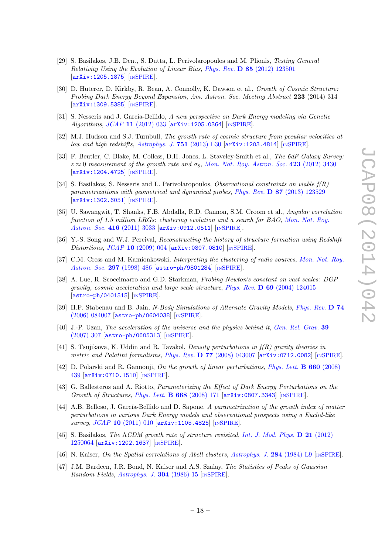- <span id="page-19-0"></span>[29] S. Basilakos, J.B. Dent, S. Dutta, L. Perivolaropoulos and M. Plionis, Testing General Relativity Using the Evolution of Linear Bias, Phys. Rev. D 85 [\(2012\) 123501](http://dx.doi.org/10.1103/PhysRevD.85.123501) [[arXiv:1205.1875](http://arxiv.org/abs/1205.1875)] [IN[SPIRE](http://inspirehep.net/search?p=find+J+Phys.Rev.,D85,123501)].
- <span id="page-19-1"></span>[30] D. Huterer, D. Kirkby, R. Bean, A. Connolly, K. Dawson et al., Growth of Cosmic Structure: Probing Dark Energy Beyond Expansion, Am. Astron. Soc. Meeting Abstract 223 (2014) 314 [[arXiv:1309.5385](http://arxiv.org/abs/1309.5385)] [IN[SPIRE](http://inspirehep.net/search?p=find+EPRINT+arXiv:1309.5385)].
- <span id="page-19-2"></span>[31] S. Nesseris and J. García-Bellido, A new perspective on Dark Energy modeling via Genetic Algorithms, JCAP 11 [\(2012\) 033](http://dx.doi.org/10.1088/1475-7516/2012/11/033) [[arXiv:1205.0364](http://arxiv.org/abs/1205.0364)] [IN[SPIRE](http://inspirehep.net/search?p=find+J+JCAP,1211,033)].
- <span id="page-19-3"></span>[32] M.J. Hudson and S.J. Turnbull, The growth rate of cosmic structure from peculiar velocities at low and high redshifts, [Astrophys. J.](http://dx.doi.org/10.1088/2041-8205/751/2/L30) 751 (2013) L30  $\arXiv:1203.4814$  $\arXiv:1203.4814$  [IN[SPIRE](http://inspirehep.net/search?p=find+J+Astrophys.J.Lett.,751,L30)].
- <span id="page-19-4"></span>[33] F. Beutler, C. Blake, M. Colless, D.H. Jones, L. Staveley-Smith et al., The 6dF Galaxy Survey:  $z \approx 0$  measurement of the growth rate and  $\sigma_8$ , [Mon. Not. Roy. Astron. Soc.](http://dx.doi.org/10.1111/j.1365-2966.2012.21136.x) 423 (2012) 3430 [[arXiv:1204.4725](http://arxiv.org/abs/1204.4725)] [IN[SPIRE](http://inspirehep.net/search?p=find+J+Mon.Not.Roy.Astron.Soc.,423,3430)].
- <span id="page-19-5"></span>[34] S. Basilakos, S. Nesseris and L. Perivolaropoulos, Observational constraints on viable f(R) parametrizations with geometrical and dynamical probes, Phys. Rev. D 87 [\(2013\) 123529](http://dx.doi.org/10.1103/PhysRevD.87.123529) [[arXiv:1302.6051](http://arxiv.org/abs/1302.6051)] [IN[SPIRE](http://inspirehep.net/search?p=find+J+Phys.Rev.,D87,123529)].
- <span id="page-19-6"></span>[35] U. Sawangwit, T. Shanks, F.B. Abdalla, R.D. Cannon, S.M. Croom et al., Angular correlation function of 1.5 million LRGs: clustering evolution and a search for BAO, [Mon. Not. Roy.](http://dx.doi.org/10.1111/j.1365-2966.2011.19251.x) [Astron. Soc.](http://dx.doi.org/10.1111/j.1365-2966.2011.19251.x) 416 (2011) 3033 [[arXiv:0912.0511](http://arxiv.org/abs/0912.0511)] [IN[SPIRE](http://inspirehep.net/search?p=find+J+Mon.Not.Roy.Astron.Soc.,416,3033)].
- <span id="page-19-7"></span>[36] Y.-S. Song and W.J. Percival, Reconstructing the history of structure formation using Redshift Distortions, JCAP 10 [\(2009\) 004](http://dx.doi.org/10.1088/1475-7516/2009/10/004) [[arXiv:0807.0810](http://arxiv.org/abs/0807.0810)] [IN[SPIRE](http://inspirehep.net/search?p=find+J+JCAP,0910,004)].
- <span id="page-19-8"></span>[37] C.M. Cress and M. Kamionkowski, Interpreting the clustering of radio sources, [Mon. Not. Roy.](http://dx.doi.org/10.1046/j.1365-8711.1998.01502.x) [Astron. Soc.](http://dx.doi.org/10.1046/j.1365-8711.1998.01502.x) 297 (1998) 486 [[astro-ph/9801284](http://arxiv.org/abs/astro-ph/9801284)] [IN[SPIRE](http://inspirehep.net/search?p=find+EPRINT+astro-ph/9801284)].
- <span id="page-19-9"></span>[38] A. Lue, R. Scoccimarro and G.D. Starkman, Probing Newton's constant on vast scales: DGP gravity, cosmic acceleration and large scale structure, Phys. Rev.  $\bf{D}$  69 [\(2004\) 124015](http://dx.doi.org/10.1103/PhysRevD.69.124015)  $\left[\text{astro-ph}/\text{0401515}\right]$   $\left[\text{nSPIRE}\right]$  $\left[\text{nSPIRE}\right]$  $\left[\text{nSPIRE}\right]$ .
- [39] H.F. Stabenau and B. Jain, N-Body Simulations of Alternate Gravity Models, [Phys. Rev.](http://dx.doi.org/10.1103/PhysRevD.74.084007) D 74 [\(2006\) 084007](http://dx.doi.org/10.1103/PhysRevD.74.084007) [[astro-ph/0604038](http://arxiv.org/abs/astro-ph/0604038)] [IN[SPIRE](http://inspirehep.net/search?p=find+J+Phys.Rev.,D74,084007)].
- [40] J.-P. Uzan, The acceleration of the universe and the physics behind it, [Gen. Rel. Grav.](http://dx.doi.org/10.1007/s10714-006-0385-z) 39 [\(2007\) 307](http://dx.doi.org/10.1007/s10714-006-0385-z) [[astro-ph/0605313](http://arxiv.org/abs/astro-ph/0605313)] [IN[SPIRE](http://inspirehep.net/search?p=find+J+Gen.Rel.Grav.,39,307)].
- <span id="page-19-10"></span>[41] S. Tsujikawa, K. Uddin and R. Tavakol, Density perturbations in f(R) gravity theories in metric and Palatini formalisms, Phys. Rev. D 77 [\(2008\) 043007](http://dx.doi.org/10.1103/PhysRevD.77.043007) [[arXiv:0712.0082](http://arxiv.org/abs/0712.0082)] [IN[SPIRE](http://inspirehep.net/search?p=find+J+Phys.Rev.,D77,043007)].
- <span id="page-19-11"></span>[42] D. Polarski and R. Gannouji, On the growth of linear perturbations, [Phys. Lett.](http://dx.doi.org/10.1016/j.physletb.2008.01.032) B 660 (2008) [439](http://dx.doi.org/10.1016/j.physletb.2008.01.032) [[arXiv:0710.1510](http://arxiv.org/abs/0710.1510)] [IN[SPIRE](http://inspirehep.net/search?p=find+J+Phys.Lett.,B660,439)].
- [43] G. Ballesteros and A. Riotto, Parameterizing the Effect of Dark Energy Perturbations on the Growth of Structures, [Phys. Lett.](http://dx.doi.org/10.1016/j.physletb.2008.08.035) B 668 (2008) 171 [[arXiv:0807.3343](http://arxiv.org/abs/0807.3343)] [IN[SPIRE](http://inspirehep.net/search?p=find+J+Phys.Lett.,B668,171)].
- [44] A.B. Belloso, J. García-Bellido and D. Sapone, A parametrization of the growth index of matter perturbations in various Dark Energy models and observational prospects using a Euclid-like survey, JCAP 10 [\(2011\) 010](http://dx.doi.org/10.1088/1475-7516/2011/10/010) [[arXiv:1105.4825](http://arxiv.org/abs/1105.4825)] [IN[SPIRE](http://inspirehep.net/search?p=find+J+JCAP,1110,010)].
- <span id="page-19-12"></span>[45] S. Basilakos, The  $\Lambda CDM$  growth rate of structure revisited, [Int. J. Mod. Phys.](http://dx.doi.org/10.1142/S0218271812500642) D 21 (2012) [1250064](http://dx.doi.org/10.1142/S0218271812500642) [[arXiv:1202.1637](http://arxiv.org/abs/1202.1637)] [IN[SPIRE](http://inspirehep.net/search?p=find+EPRINT+arXiv:1202.1637)].
- <span id="page-19-13"></span>[46] N. Kaiser, On the Spatial correlations of Abell clusters, [Astrophys. J.](http://dx.doi.org/10.1086/184341) 284 (1984) L9 [IN[SPIRE](http://inspirehep.net/search?p=find+J+Astrophys.J.,284,L9)].
- <span id="page-19-14"></span>[47] J.M. Bardeen, J.R. Bond, N. Kaiser and A.S. Szalay, The Statistics of Peaks of Gaussian Random Fields, [Astrophys. J.](http://dx.doi.org/10.1086/164143) 304 (1986) 15 [IN[SPIRE](http://inspirehep.net/search?p=find+J+Astrophys.J.,304,15)].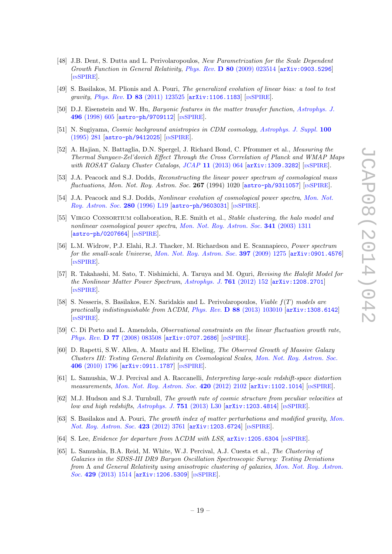- <span id="page-20-1"></span>[48] J.B. Dent, S. Dutta and L. Perivolaropoulos, New Parametrization for the Scale Dependent Growth Function in General Relativity, Phys. Rev.  $\bf{D}$  80 [\(2009\) 023514](http://dx.doi.org/10.1103/PhysRevD.80.023514)  $\bf{arXiv:}$  0903.5296 [IN[SPIRE](http://inspirehep.net/search?p=find+J+Phys.Rev.,D80,023514)].
- <span id="page-20-0"></span>[49] S. Basilakos, M. Plionis and A. Pouri, The generalized evolution of linear bias: a tool to test gravity, Phys. Rev. **D 83** [\(2011\) 123525](http://dx.doi.org/10.1103/PhysRevD.83.123525) [[arXiv:1106.1183](http://arxiv.org/abs/1106.1183)] [IN[SPIRE](http://inspirehep.net/search?p=find+J+Phys.Rev.,D83,123525)].
- <span id="page-20-2"></span>[50] D.J. Eisenstein and W. Hu, Baryonic features in the matter transfer function, [Astrophys. J.](http://dx.doi.org/10.1086/305424) 496 [\(1998\) 605](http://dx.doi.org/10.1086/305424) [[astro-ph/9709112](http://arxiv.org/abs/astro-ph/9709112)] [IN[SPIRE](http://inspirehep.net/search?p=find+J+Astrophys.J.,496,605)].
- <span id="page-20-3"></span>[51] N. Sugiyama, Cosmic background anistropies in CDM cosmology, [Astrophys. J. Suppl.](http://dx.doi.org/10.1086/192220) 100 [\(1995\) 281](http://dx.doi.org/10.1086/192220) [[astro-ph/9412025](http://arxiv.org/abs/astro-ph/9412025)] [IN[SPIRE](http://inspirehep.net/search?p=find+J+Astrophys.J.Supp.,100,281)].
- <span id="page-20-4"></span>[52] A. Hajian, N. Battaglia, D.N. Spergel, J. Richard Bond, C. Pfrommer et al., *Measuring the* Thermal Sunyaev-Zel'dovich Effect Through the Cross Correlation of Planck and WMAP Maps with ROSAT Galaxy Cluster Catalogs, JCAP 11 [\(2013\) 064](http://dx.doi.org/10.1088/1475-7516/2013/11/064) [[arXiv:1309.3282](http://arxiv.org/abs/1309.3282)] [IN[SPIRE](http://inspirehep.net/search?p=find+J+JCAP,1311,064)].
- <span id="page-20-5"></span>[53] J.A. Peacock and S.J. Dodds, Reconstructing the linear power spectrum of cosmological mass fluctuations, Mon. Not. Roy. Astron. Soc. 267 (1994) 1020  $\left[ \text{astro-ph/9311057}\right]$  $\left[ \text{astro-ph/9311057}\right]$  $\left[ \text{astro-ph/9311057}\right]$   $\left[ \text{nsPIRE}\right]$ .
- <span id="page-20-6"></span>[54] J.A. Peacock and S.J. Dodds, Nonlinear evolution of cosmological power spectra, [Mon. Not.](http://dx.doi.org/10.1093/mnras/280.3.L19) [Roy. Astron. Soc.](http://dx.doi.org/10.1093/mnras/280.3.L19) 280 (1996) L19 [[astro-ph/9603031](http://arxiv.org/abs/astro-ph/9603031)] [IN[SPIRE](http://inspirehep.net/search?p=find+J+Mon.Not.Roy.Astron.Soc.,280,L19)].
- <span id="page-20-7"></span>[55] Virgo Consortium collaboration, R.E. Smith et al., Stable clustering, the halo model and nonlinear cosmological power spectra, [Mon. Not. Roy. Astron. Soc.](http://dx.doi.org/10.1046/j.1365-8711.2003.06503.x) 341 (2003) 1311 [[astro-ph/0207664](http://arxiv.org/abs/astro-ph/0207664)] [IN[SPIRE](http://inspirehep.net/search?p=find+J+Mon.Not.Roy.Astron.Soc.,341,1311)].
- <span id="page-20-8"></span>[56] L.M. Widrow, P.J. Elahi, R.J. Thacker, M. Richardson and E. Scannapieco, Power spectrum for the small-scale Universe, [Mon. Not. Roy. Astron. Soc.](http://dx.doi.org/10.1111/j.1365-2966.2009.15075.x) **397** (2009) 1275 [[arXiv:0901.4576](http://arxiv.org/abs/0901.4576)] [IN[SPIRE](http://inspirehep.net/search?p=find+EPRINT+arXiv:0901.4576)].
- <span id="page-20-9"></span>[57] R. Takahashi, M. Sato, T. Nishimichi, A. Taruya and M. Oguri, Revising the Halofit Model for the Nonlinear Matter Power Spectrum, [Astrophys. J.](http://dx.doi.org/10.1088/0004-637X/761/2/152) 761 (2012) 152 [[arXiv:1208.2701](http://arxiv.org/abs/1208.2701)] [IN[SPIRE](http://inspirehep.net/search?p=find+J+Astrophys.J.,761,152)].
- <span id="page-20-10"></span>[58] S. Nesseris, S. Basilakos, E.N. Saridakis and L. Perivolaropoulos, *Viable*  $f(T)$  *models are* practically indistinguishable from  $\Lambda CDM$ , Phys. Rev. **D** 88 [\(2013\) 103010](http://dx.doi.org/10.1103/PhysRevD.88.103010) [[arXiv:1308.6142](http://arxiv.org/abs/1308.6142)] [IN[SPIRE](http://inspirehep.net/search?p=find+J+Phys.Rev.,D88,103010)].
- <span id="page-20-11"></span>[59] C. Di Porto and L. Amendola, Observational constraints on the linear fluctuation growth rate, Phys. Rev. D 77 [\(2008\) 083508](http://dx.doi.org/10.1103/PhysRevD.77.083508) [[arXiv:0707.2686](http://arxiv.org/abs/0707.2686)] [IN[SPIRE](http://inspirehep.net/search?p=find+J+Phys.Rev.,D77,083508)].
- <span id="page-20-12"></span>[60] D. Rapetti, S.W. Allen, A. Mantz and H. Ebeling, The Observed Growth of Massive Galaxy Clusters III: Testing General Relativity on Cosmological Scales, [Mon. Not. Roy. Astron. Soc.](http://dx.doi.org/10.1111/j.1365-2966.2010.16799.x) 406 [\(2010\) 1796](http://dx.doi.org/10.1111/j.1365-2966.2010.16799.x) [[arXiv:0911.1787](http://arxiv.org/abs/0911.1787)] [IN[SPIRE](http://inspirehep.net/search?p=find+J+Mon.Not.Roy.Astron.Soc.,406,1796)].
- <span id="page-20-13"></span>[61] L. Samushia, W.J. Percival and A. Raccanelli, Interpreting large-scale redshift-space distortion measurements, [Mon. Not. Roy. Astron. Soc.](http://dx.doi.org/10.1111/j.1365-2966.2011.20169.x) 420 (2012) 2102 [[arXiv:1102.1014](http://arxiv.org/abs/1102.1014)] [IN[SPIRE](http://inspirehep.net/search?p=find+J+Mon.Not.Roy.Astron.Soc.,420,2102)].
- <span id="page-20-14"></span>[62] M.J. Hudson and S.J. Turnbull, The growth rate of cosmic structure from peculiar velocities at low and high redshifts, [Astrophys. J.](http://dx.doi.org/10.1088/2041-8205/751/2/L30) 751 (2013) L30 [[arXiv:1203.4814](http://arxiv.org/abs/1203.4814)] [IN[SPIRE](http://inspirehep.net/search?p=find+J+Astrophys.J.Lett.,751,L30)].
- <span id="page-20-15"></span>[63] S. Basilakos and A. Pouri, The growth index of matter perturbations and modified gravity, [Mon.](http://dx.doi.org/10.1111/j.1365-2966.2012.21168.x) [Not. Roy. Astron. Soc.](http://dx.doi.org/10.1111/j.1365-2966.2012.21168.x) 423 (2012) 3761 [[arXiv:1203.6724](http://arxiv.org/abs/1203.6724)] [IN[SPIRE](http://inspirehep.net/search?p=find+EPRINT+arXiv:1203.6724)].
- <span id="page-20-16"></span>[64] S. Lee, *Evidence for departure from*  $\Lambda$ *CDM with LSS*,  $arXiv:1205.6304$  [IN[SPIRE](http://inspirehep.net/search?p=find+EPRINT+arXiv:1205.6304)].
- <span id="page-20-17"></span>[65] L. Samushia, B.A. Reid, M. White, W.J. Percival, A.J. Cuesta et al., The Clustering of Galaxies in the SDSS-III DR9 Baryon Oscillation Spectroscopic Survey: Testing Deviations from Λ and General Relativity using anisotropic clustering of galaxies, [Mon. Not. Roy. Astron.](http://dx.doi.org/10.1093/mnras/sts443) Soc. 429 [\(2013\) 1514](http://dx.doi.org/10.1093/mnras/sts443) [[arXiv:1206.5309](http://arxiv.org/abs/1206.5309)] [IN[SPIRE](http://inspirehep.net/search?p=find+J+Mon.Not.Roy.Astron.Soc.,429,1514)].